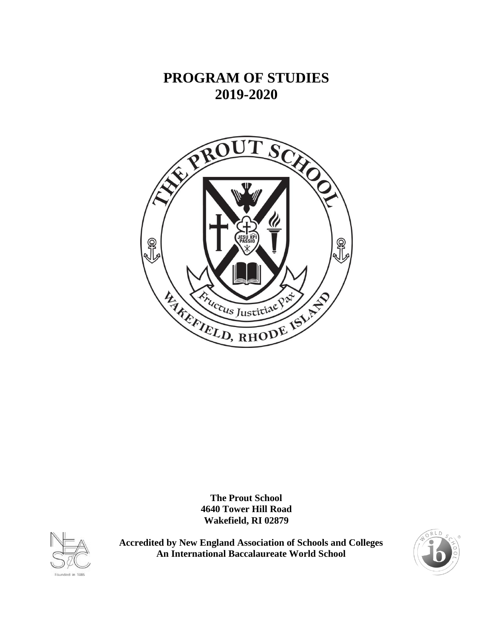# **PROGRAM OF STUDIES 2019-2020**



**The Prout School 4640 Tower Hill Road Wakefield, RI 02879**



**Accredited by New England Association of Schools and Colleges An International Baccalaureate World School**

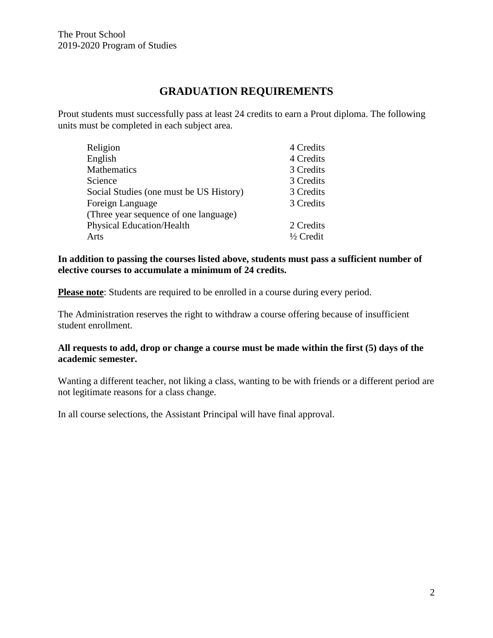# **GRADUATION REQUIREMENTS**

Prout students must successfully pass at least 24 credits to earn a Prout diploma. The following units must be completed in each subject area.

| Religion                                | 4 Credits            |
|-----------------------------------------|----------------------|
| English                                 | 4 Credits            |
| <b>Mathematics</b>                      | 3 Credits            |
| Science                                 | 3 Credits            |
| Social Studies (one must be US History) | 3 Credits            |
| Foreign Language                        | 3 Credits            |
| (Three year sequence of one language)   |                      |
| <b>Physical Education/Health</b>        | 2 Credits            |
| Arts                                    | $\frac{1}{2}$ Credit |
|                                         |                      |

#### **In addition to passing the courses listed above, students must pass a sufficient number of elective courses to accumulate a minimum of 24 credits.**

**Please note**: Students are required to be enrolled in a course during every period.

The Administration reserves the right to withdraw a course offering because of insufficient student enrollment.

#### **All requests to add, drop or change a course must be made within the first (5) days of the academic semester.**

Wanting a different teacher, not liking a class, wanting to be with friends or a different period are not legitimate reasons for a class change.

In all course selections, the Assistant Principal will have final approval.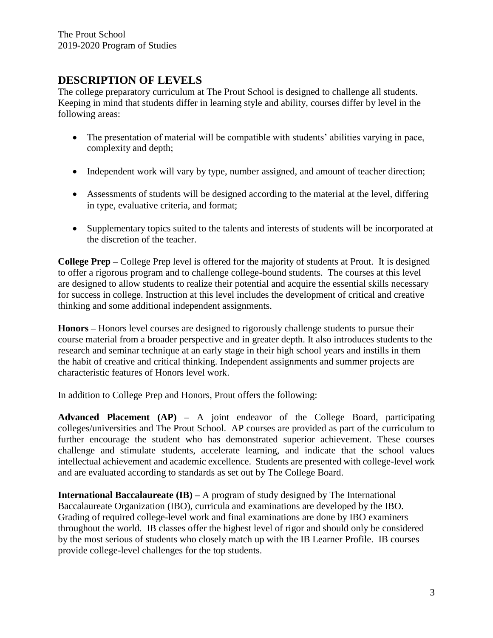# **DESCRIPTION OF LEVELS**

The college preparatory curriculum at The Prout School is designed to challenge all students. Keeping in mind that students differ in learning style and ability, courses differ by level in the following areas:

- The presentation of material will be compatible with students' abilities varying in pace, complexity and depth;
- Independent work will vary by type, number assigned, and amount of teacher direction;
- Assessments of students will be designed according to the material at the level, differing in type, evaluative criteria, and format;
- Supplementary topics suited to the talents and interests of students will be incorporated at the discretion of the teacher.

**College Prep –** College Prep level is offered for the majority of students at Prout. It is designed to offer a rigorous program and to challenge college-bound students. The courses at this level are designed to allow students to realize their potential and acquire the essential skills necessary for success in college. Instruction at this level includes the development of critical and creative thinking and some additional independent assignments.

**Honors –** Honors level courses are designed to rigorously challenge students to pursue their course material from a broader perspective and in greater depth. It also introduces students to the research and seminar technique at an early stage in their high school years and instills in them the habit of creative and critical thinking. Independent assignments and summer projects are characteristic features of Honors level work.

In addition to College Prep and Honors, Prout offers the following:

**Advanced Placement (AP) –** A joint endeavor of the College Board, participating colleges/universities and The Prout School. AP courses are provided as part of the curriculum to further encourage the student who has demonstrated superior achievement. These courses challenge and stimulate students, accelerate learning, and indicate that the school values intellectual achievement and academic excellence. Students are presented with college-level work and are evaluated according to standards as set out by The College Board.

**International Baccalaureate (IB) –** A program of study designed by The International Baccalaureate Organization (IBO), curricula and examinations are developed by the IBO. Grading of required college-level work and final examinations are done by IBO examiners throughout the world. IB classes offer the highest level of rigor and should only be considered by the most serious of students who closely match up with the IB Learner Profile. IB courses provide college-level challenges for the top students.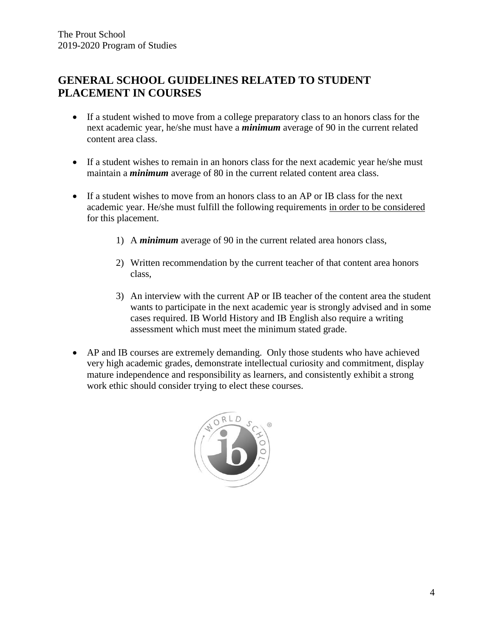# **GENERAL SCHOOL GUIDELINES RELATED TO STUDENT PLACEMENT IN COURSES**

- If a student wished to move from a college preparatory class to an honors class for the next academic year, he/she must have a *minimum* average of 90 in the current related content area class.
- If a student wishes to remain in an honors class for the next academic year he/she must maintain a *minimum* average of 80 in the current related content area class.
- If a student wishes to move from an honors class to an AP or IB class for the next academic year. He/she must fulfill the following requirements in order to be considered for this placement.
	- 1) A *minimum* average of 90 in the current related area honors class,
	- 2) Written recommendation by the current teacher of that content area honors class,
	- 3) An interview with the current AP or IB teacher of the content area the student wants to participate in the next academic year is strongly advised and in some cases required. IB World History and IB English also require a writing assessment which must meet the minimum stated grade.
- AP and IB courses are extremely demanding. Only those students who have achieved very high academic grades, demonstrate intellectual curiosity and commitment, display mature independence and responsibility as learners, and consistently exhibit a strong work ethic should consider trying to elect these courses.

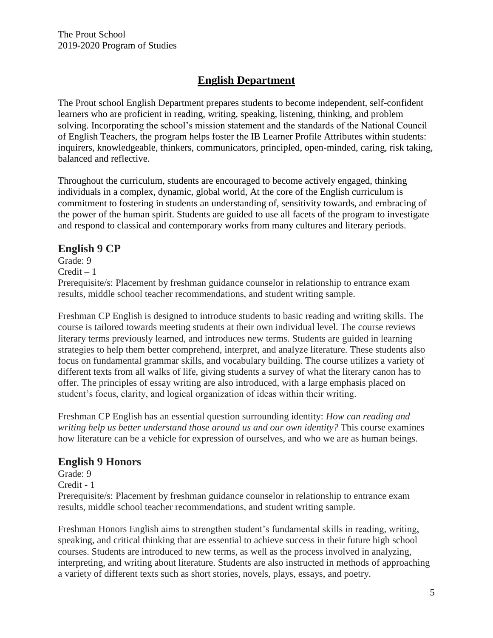# **English Department**

The Prout school English Department prepares students to become independent, self-confident learners who are proficient in reading, writing, speaking, listening, thinking, and problem solving. Incorporating the school's mission statement and the standards of the National Council of English Teachers, the program helps foster the IB Learner Profile Attributes within students: inquirers, knowledgeable, thinkers, communicators, principled, open-minded, caring, risk taking, balanced and reflective.

Throughout the curriculum, students are encouraged to become actively engaged, thinking individuals in a complex, dynamic, global world, At the core of the English curriculum is commitment to fostering in students an understanding of, sensitivity towards, and embracing of the power of the human spirit. Students are guided to use all facets of the program to investigate and respond to classical and contemporary works from many cultures and literary periods.

## **English 9 CP**

Grade: 9  $Credit - 1$ 

Prerequisite/s: Placement by freshman guidance counselor in relationship to entrance exam results, middle school teacher recommendations, and student writing sample.

Freshman CP English is designed to introduce students to basic reading and writing skills. The course is tailored towards meeting students at their own individual level. The course reviews literary terms previously learned, and introduces new terms. Students are guided in learning strategies to help them better comprehend, interpret, and analyze literature. These students also focus on fundamental grammar skills, and vocabulary building. The course utilizes a variety of different texts from all walks of life, giving students a survey of what the literary canon has to offer. The principles of essay writing are also introduced, with a large emphasis placed on student's focus, clarity, and logical organization of ideas within their writing.

Freshman CP English has an essential question surrounding identity: *How can reading and writing help us better understand those around us and our own identity?* This course examines how literature can be a vehicle for expression of ourselves, and who we are as human beings.

## **English 9 Honors**

Grade: 9 Credit - 1 Prerequisite/s: Placement by freshman guidance counselor in relationship to entrance exam results, middle school teacher recommendations, and student writing sample.

Freshman Honors English aims to strengthen student's fundamental skills in reading, writing, speaking, and critical thinking that are essential to achieve success in their future high school courses. Students are introduced to new terms, as well as the process involved in analyzing, interpreting, and writing about literature. Students are also instructed in methods of approaching a variety of different texts such as short stories, novels, plays, essays, and poetry.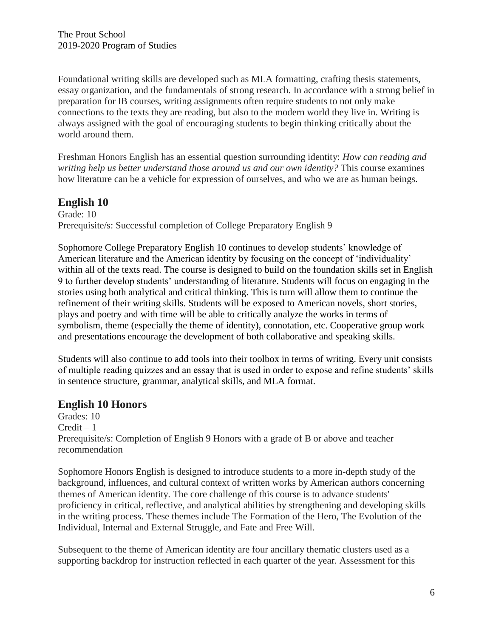Foundational writing skills are developed such as MLA formatting, crafting thesis statements, essay organization, and the fundamentals of strong research. In accordance with a strong belief in preparation for IB courses, writing assignments often require students to not only make connections to the texts they are reading, but also to the modern world they live in. Writing is always assigned with the goal of encouraging students to begin thinking critically about the world around them.

Freshman Honors English has an essential question surrounding identity: *How can reading and writing help us better understand those around us and our own identity?* This course examines how literature can be a vehicle for expression of ourselves, and who we are as human beings.

#### **English 10**

Grade: 10 Prerequisite/s: Successful completion of College Preparatory English 9

Sophomore College Preparatory English 10 continues to develop students' knowledge of American literature and the American identity by focusing on the concept of 'individuality' within all of the texts read. The course is designed to build on the foundation skills set in English 9 to further develop students' understanding of literature. Students will focus on engaging in the stories using both analytical and critical thinking. This is turn will allow them to continue the refinement of their writing skills. Students will be exposed to American novels, short stories, plays and poetry and with time will be able to critically analyze the works in terms of symbolism, theme (especially the theme of identity), connotation, etc. Cooperative group work and presentations encourage the development of both collaborative and speaking skills.

Students will also continue to add tools into their toolbox in terms of writing. Every unit consists of multiple reading quizzes and an essay that is used in order to expose and refine students' skills in sentence structure, grammar, analytical skills, and MLA format.

#### **English 10 Honors**

Grades: 10  $Credit - 1$ Prerequisite/s: Completion of English 9 Honors with a grade of B or above and teacher recommendation

Sophomore Honors English is designed to introduce students to a more in-depth study of the background, influences, and cultural context of written works by American authors concerning themes of American identity. The core challenge of this course is to advance students' proficiency in critical, reflective, and analytical abilities by strengthening and developing skills in the writing process. These themes include The Formation of the Hero, The Evolution of the Individual, Internal and External Struggle, and Fate and Free Will.

Subsequent to the theme of American identity are four ancillary thematic clusters used as a supporting backdrop for instruction reflected in each quarter of the year. Assessment for this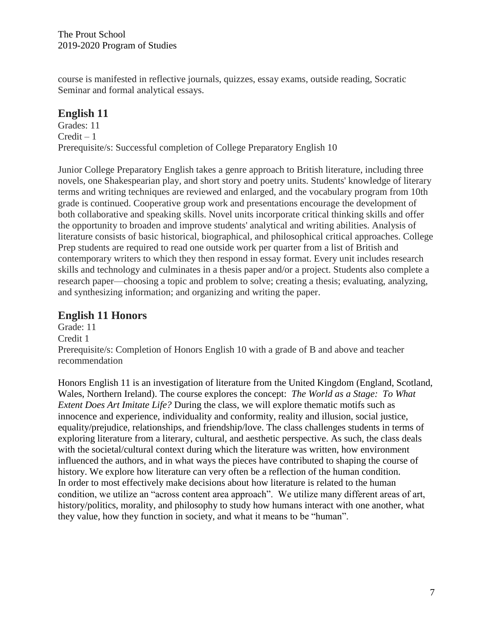course is manifested in reflective journals, quizzes, essay exams, outside reading, Socratic Seminar and formal analytical essays.

# **English 11**

Grades: 11  $Credit - 1$ Prerequisite/s: Successful completion of College Preparatory English 10

Junior College Preparatory English takes a genre approach to British literature, including three novels, one Shakespearian play, and short story and poetry units. Students' knowledge of literary terms and writing techniques are reviewed and enlarged, and the vocabulary program from 10th grade is continued. Cooperative group work and presentations encourage the development of both collaborative and speaking skills. Novel units incorporate critical thinking skills and offer the opportunity to broaden and improve students' analytical and writing abilities. Analysis of literature consists of basic historical, biographical, and philosophical critical approaches. College Prep students are required to read one outside work per quarter from a list of British and contemporary writers to which they then respond in essay format. Every unit includes research skills and technology and culminates in a thesis paper and/or a project. Students also complete a research paper—choosing a topic and problem to solve; creating a thesis; evaluating, analyzing, and synthesizing information; and organizing and writing the paper.

# **English 11 Honors**

Grade: 11 Credit 1 Prerequisite/s: Completion of Honors English 10 with a grade of B and above and teacher recommendation

Honors English 11 is an investigation of literature from the United Kingdom (England, Scotland, Wales, Northern Ireland). The course explores the concept: *The World as a Stage: To What Extent Does Art Imitate Life?* During the class, we will explore thematic motifs such as innocence and experience, individuality and conformity, reality and illusion, social justice, equality/prejudice, relationships, and friendship/love. The class challenges students in terms of exploring literature from a literary, cultural, and aesthetic perspective. As such, the class deals with the societal/cultural context during which the literature was written, how environment influenced the authors, and in what ways the pieces have contributed to shaping the course of history. We explore how literature can very often be a reflection of the human condition. In order to most effectively make decisions about how literature is related to the human condition, we utilize an "across content area approach". We utilize many different areas of art, history/politics, morality, and philosophy to study how humans interact with one another, what they value, how they function in society, and what it means to be "human".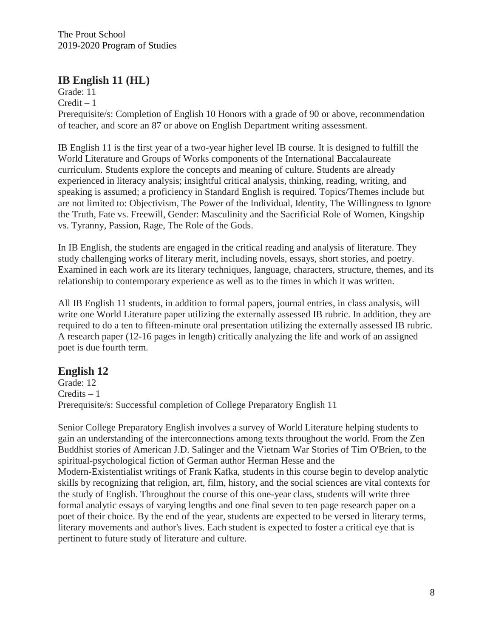## **IB English 11 (HL)**

Grade: 11  $Credit - 1$ Prerequisite/s: Completion of English 10 Honors with a grade of 90 or above, recommendation of teacher, and score an 87 or above on English Department writing assessment.

IB English 11 is the first year of a two-year higher level IB course. It is designed to fulfill the World Literature and Groups of Works components of the International Baccalaureate curriculum. Students explore the concepts and meaning of culture. Students are already experienced in literacy analysis; insightful critical analysis, thinking, reading, writing, and speaking is assumed; a proficiency in Standard English is required. Topics/Themes include but are not limited to: Objectivism, The Power of the Individual, Identity, The Willingness to Ignore the Truth, Fate vs. Freewill, Gender: Masculinity and the Sacrificial Role of Women, Kingship vs. Tyranny, Passion, Rage, The Role of the Gods.

In IB English, the students are engaged in the critical reading and analysis of literature. They study challenging works of literary merit, including novels, essays, short stories, and poetry. Examined in each work are its literary techniques, language, characters, structure, themes, and its relationship to contemporary experience as well as to the times in which it was written.

All IB English 11 students, in addition to formal papers, journal entries, in class analysis, will write one World Literature paper utilizing the externally assessed IB rubric. In addition, they are required to do a ten to fifteen-minute oral presentation utilizing the externally assessed IB rubric. A research paper (12-16 pages in length) critically analyzing the life and work of an assigned poet is due fourth term.

## **English 12**

Grade: 12 Credits – 1 Prerequisite/s: Successful completion of College Preparatory English 11

Senior College Preparatory English involves a survey of World Literature helping students to gain an understanding of the interconnections among texts throughout the world. From the Zen Buddhist stories of American J.D. Salinger and the Vietnam War Stories of Tim O'Brien, to the spiritual-psychological fiction of German author Herman Hesse and the Modern-Existentialist writings of Frank Kafka, students in this course begin to develop analytic skills by recognizing that religion, art, film, history, and the social sciences are vital contexts for the study of English. Throughout the course of this one-year class, students will write three formal analytic essays of varying lengths and one final seven to ten page research paper on a poet of their choice. By the end of the year, students are expected to be versed in literary terms, literary movements and author's lives. Each student is expected to foster a critical eye that is pertinent to future study of literature and culture.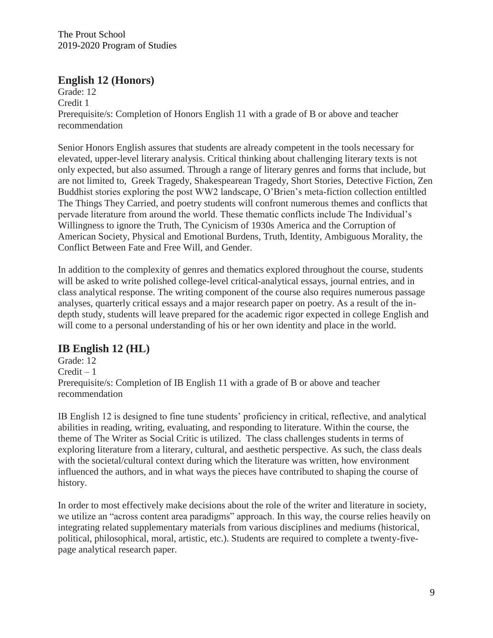## **English 12 (Honors)**

Grade: 12 Credit 1 Prerequisite/s: Completion of Honors English 11 with a grade of B or above and teacher recommendation

Senior Honors English assures that students are already competent in the tools necessary for elevated, upper-level literary analysis. Critical thinking about challenging literary texts is not only expected, but also assumed. Through a range of literary genres and forms that include, but are not limited to, Greek Tragedy, Shakespearean Tragedy, Short Stories, Detective Fiction, Zen Buddhist stories exploring the post WW2 landscape, O'Brien's meta-fiction collection entiltled The Things They Carried, and poetry students will confront numerous themes and conflicts that pervade literature from around the world. These thematic conflicts include The Individual's Willingness to ignore the Truth, The Cynicism of 1930s America and the Corruption of American Society, Physical and Emotional Burdens, Truth, Identity, Ambiguous Morality, the Conflict Between Fate and Free Will, and Gender.

In addition to the complexity of genres and thematics explored throughout the course, students will be asked to write polished college-level critical-analytical essays, journal entries, and in class analytical response. The writing component of the course also requires numerous passage analyses, quarterly critical essays and a major research paper on poetry. As a result of the indepth study, students will leave prepared for the academic rigor expected in college English and will come to a personal understanding of his or her own identity and place in the world.

# **IB English 12 (HL)**

Grade: 12  $Credit - 1$ Prerequisite/s: Completion of IB English 11 with a grade of B or above and teacher recommendation

IB English 12 is designed to fine tune students' proficiency in critical, reflective, and analytical abilities in reading, writing, evaluating, and responding to literature. Within the course, the theme of The Writer as Social Critic is utilized. The class challenges students in terms of exploring literature from a literary, cultural, and aesthetic perspective. As such, the class deals with the societal/cultural context during which the literature was written, how environment influenced the authors, and in what ways the pieces have contributed to shaping the course of history.

In order to most effectively make decisions about the role of the writer and literature in society, we utilize an "across content area paradigms" approach. In this way, the course relies heavily on integrating related supplementary materials from various disciplines and mediums (historical, political, philosophical, moral, artistic, etc.). Students are required to complete a twenty-fivepage analytical research paper.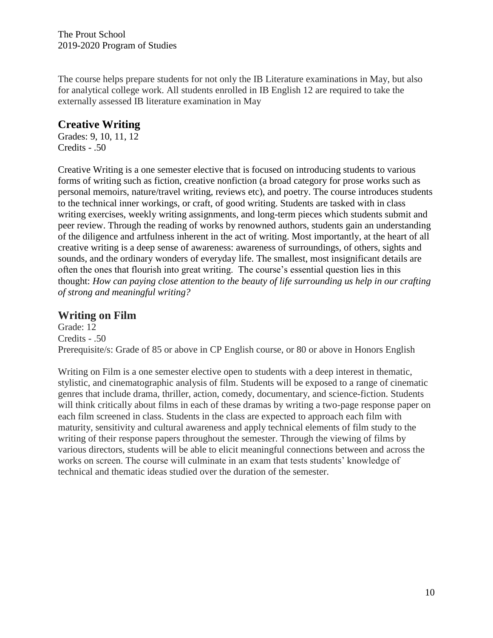The course helps prepare students for not only the IB Literature examinations in May, but also for analytical college work. All students enrolled in IB English 12 are required to take the externally assessed IB literature examination in May

# **Creative Writing**

Grades: 9, 10, 11, 12 Credits - .50

Creative Writing is a one semester elective that is focused on introducing students to various forms of writing such as fiction, creative nonfiction (a broad category for prose works such as personal memoirs, nature/travel writing, reviews etc), and poetry. The course introduces students to the technical inner workings, or craft, of good writing. Students are tasked with in class writing exercises, weekly writing assignments, and long-term pieces which students submit and peer review. Through the reading of works by renowned authors, students gain an understanding of the diligence and artfulness inherent in the act of writing. Most importantly, at the heart of all creative writing is a deep sense of awareness: awareness of surroundings, of others, sights and sounds, and the ordinary wonders of everyday life. The smallest, most insignificant details are often the ones that flourish into great writing. The course's essential question lies in this thought: *How can paying close attention to the beauty of life surrounding us help in our crafting of strong and meaningful writing?*

# **Writing on Film**

Grade: 12 Credits - .50 Prerequisite/s: Grade of 85 or above in CP English course, or 80 or above in Honors English

Writing on Film is a one semester elective open to students with a deep interest in thematic, stylistic, and cinematographic analysis of film. Students will be exposed to a range of cinematic genres that include drama, thriller, action, comedy, documentary, and science-fiction. Students will think critically about films in each of these dramas by writing a two-page response paper on each film screened in class. Students in the class are expected to approach each film with maturity, sensitivity and cultural awareness and apply technical elements of film study to the writing of their response papers throughout the semester. Through the viewing of films by various directors, students will be able to elicit meaningful connections between and across the works on screen. The course will culminate in an exam that tests students' knowledge of technical and thematic ideas studied over the duration of the semester.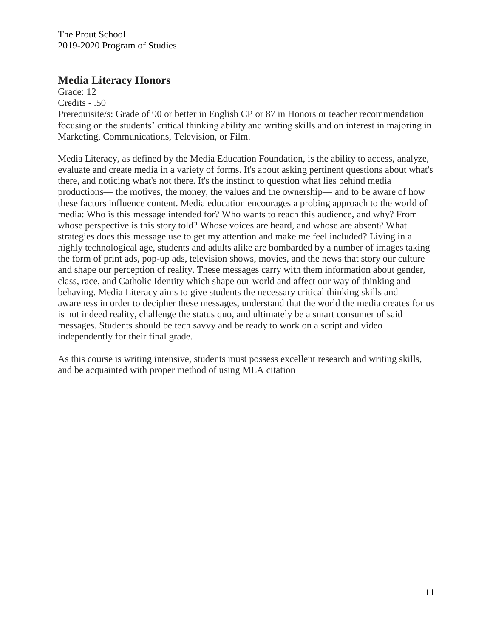#### **Media Literacy Honors**

Grade: 12

Credits - .50

Prerequisite/s: Grade of 90 or better in English CP or 87 in Honors or teacher recommendation focusing on the students' critical thinking ability and writing skills and on interest in majoring in Marketing, Communications, Television, or Film.

Media Literacy, as defined by the Media Education Foundation, is the ability to access, analyze, evaluate and create media in a variety of forms. It's about asking pertinent questions about what's there, and noticing what's not there. It's the instinct to question what lies behind media productions— the motives, the money, the values and the ownership— and to be aware of how these factors influence content. Media education encourages a probing approach to the world of media: Who is this message intended for? Who wants to reach this audience, and why? From whose perspective is this story told? Whose voices are heard, and whose are absent? What strategies does this message use to get my attention and make me feel included? Living in a highly technological age, students and adults alike are bombarded by a number of images taking the form of print ads, pop-up ads, television shows, movies, and the news that story our culture and shape our perception of reality. These messages carry with them information about gender, class, race, and Catholic Identity which shape our world and affect our way of thinking and behaving. Media Literacy aims to give students the necessary critical thinking skills and awareness in order to decipher these messages, understand that the world the media creates for us is not indeed reality, challenge the status quo, and ultimately be a smart consumer of said messages. Students should be tech savvy and be ready to work on a script and video independently for their final grade.

As this course is writing intensive, students must possess excellent research and writing skills, and be acquainted with proper method of using MLA citation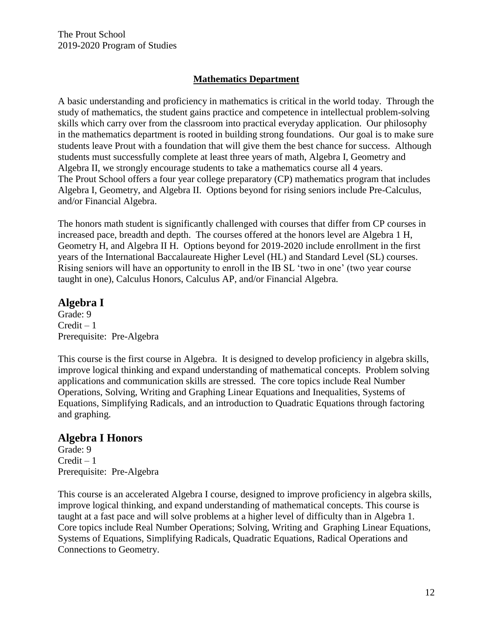#### **Mathematics Department**

A basic understanding and proficiency in mathematics is critical in the world today. Through the study of mathematics, the student gains practice and competence in intellectual problem-solving skills which carry over from the classroom into practical everyday application. Our philosophy in the mathematics department is rooted in building strong foundations. Our goal is to make sure students leave Prout with a foundation that will give them the best chance for success. Although students must successfully complete at least three years of math, Algebra I, Geometry and Algebra II, we strongly encourage students to take a mathematics course all 4 years. The Prout School offers a four year college preparatory (CP) mathematics program that includes Algebra I, Geometry, and Algebra II. Options beyond for rising seniors include Pre-Calculus, and/or Financial Algebra.

The honors math student is significantly challenged with courses that differ from CP courses in increased pace, breadth and depth. The courses offered at the honors level are Algebra 1 H, Geometry H, and Algebra II H. Options beyond for 2019-2020 include enrollment in the first years of the International Baccalaureate Higher Level (HL) and Standard Level (SL) courses. Rising seniors will have an opportunity to enroll in the IB SL 'two in one' (two year course taught in one), Calculus Honors, Calculus AP, and/or Financial Algebra.

# **Algebra I**

Grade: 9  $Credit - 1$ Prerequisite: Pre-Algebra

This course is the first course in Algebra. It is designed to develop proficiency in algebra skills, improve logical thinking and expand understanding of mathematical concepts. Problem solving applications and communication skills are stressed. The core topics include Real Number Operations, Solving, Writing and Graphing Linear Equations and Inequalities, Systems of Equations, Simplifying Radicals, and an introduction to Quadratic Equations through factoring and graphing.

## **Algebra I Honors**

Grade: 9  $Credit - 1$ Prerequisite: Pre-Algebra

This course is an accelerated Algebra I course, designed to improve proficiency in algebra skills, improve logical thinking, and expand understanding of mathematical concepts. This course is taught at a fast pace and will solve problems at a higher level of difficulty than in Algebra 1. Core topics include Real Number Operations; Solving, Writing and Graphing Linear Equations, Systems of Equations, Simplifying Radicals, Quadratic Equations, Radical Operations and Connections to Geometry.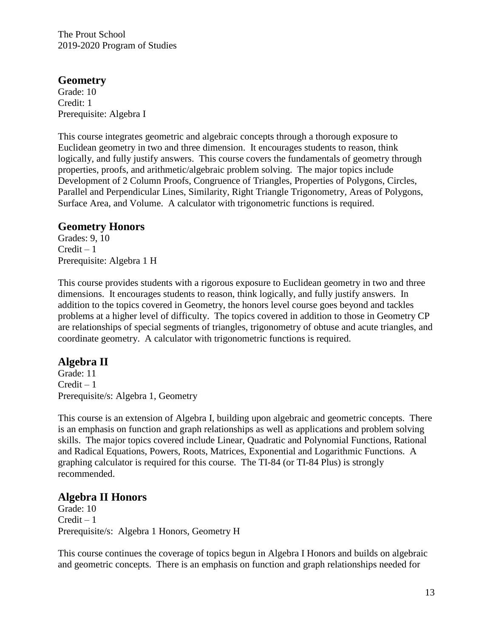#### **Geometry**

Grade: 10 Credit: 1 Prerequisite: Algebra I

This course integrates geometric and algebraic concepts through a thorough exposure to Euclidean geometry in two and three dimension. It encourages students to reason, think logically, and fully justify answers. This course covers the fundamentals of geometry through properties, proofs, and arithmetic/algebraic problem solving. The major topics include Development of 2 Column Proofs, Congruence of Triangles, Properties of Polygons, Circles, Parallel and Perpendicular Lines, Similarity, Right Triangle Trigonometry, Areas of Polygons, Surface Area, and Volume. A calculator with trigonometric functions is required.

#### **Geometry Honors**

Grades: 9, 10  $Credit - 1$ Prerequisite: Algebra 1 H

This course provides students with a rigorous exposure to Euclidean geometry in two and three dimensions. It encourages students to reason, think logically, and fully justify answers. In addition to the topics covered in Geometry, the honors level course goes beyond and tackles problems at a higher level of difficulty. The topics covered in addition to those in Geometry CP are relationships of special segments of triangles, trigonometry of obtuse and acute triangles, and coordinate geometry. A calculator with trigonometric functions is required.

## **Algebra II**

Grade: 11  $Credit - 1$ Prerequisite/s: Algebra 1, Geometry

This course is an extension of Algebra I, building upon algebraic and geometric concepts. There is an emphasis on function and graph relationships as well as applications and problem solving skills. The major topics covered include Linear, Quadratic and Polynomial Functions, Rational and Radical Equations, Powers, Roots, Matrices, Exponential and Logarithmic Functions. A graphing calculator is required for this course. The TI-84 (or TI-84 Plus) is strongly recommended.

## **Algebra II Honors**

Grade: 10  $Credit - 1$ Prerequisite/s: Algebra 1 Honors, Geometry H

This course continues the coverage of topics begun in Algebra I Honors and builds on algebraic and geometric concepts. There is an emphasis on function and graph relationships needed for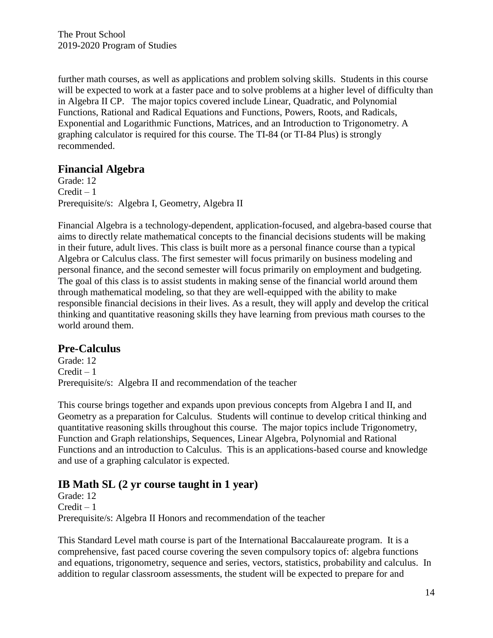further math courses, as well as applications and problem solving skills. Students in this course will be expected to work at a faster pace and to solve problems at a higher level of difficulty than in Algebra II CP. The major topics covered include Linear, Quadratic, and Polynomial Functions, Rational and Radical Equations and Functions, Powers, Roots, and Radicals, Exponential and Logarithmic Functions, Matrices, and an Introduction to Trigonometry. A graphing calculator is required for this course. The TI-84 (or TI-84 Plus) is strongly recommended.

## **Financial Algebra**

Grade: 12  $Credit - 1$ Prerequisite/s: Algebra I, Geometry, Algebra II

Financial Algebra is a technology-dependent, application-focused, and algebra-based course that aims to directly relate mathematical concepts to the financial decisions students will be making in their future, adult lives. This class is built more as a personal finance course than a typical Algebra or Calculus class. The first semester will focus primarily on business modeling and personal finance, and the second semester will focus primarily on employment and budgeting. The goal of this class is to assist students in making sense of the financial world around them through mathematical modeling, so that they are well-equipped with the ability to make responsible financial decisions in their lives. As a result, they will apply and develop the critical thinking and quantitative reasoning skills they have learning from previous math courses to the world around them.

## **Pre-Calculus**

Grade: 12  $Credit - 1$ Prerequisite/s: Algebra II and recommendation of the teacher

This course brings together and expands upon previous concepts from Algebra I and II, and Geometry as a preparation for Calculus. Students will continue to develop critical thinking and quantitative reasoning skills throughout this course. The major topics include Trigonometry, Function and Graph relationships, Sequences, Linear Algebra, Polynomial and Rational Functions and an introduction to Calculus. This is an applications-based course and knowledge and use of a graphing calculator is expected.

# **IB Math SL (2 yr course taught in 1 year)**

Grade: 12  $Credit - 1$ Prerequisite/s: Algebra II Honors and recommendation of the teacher

This Standard Level math course is part of the International Baccalaureate program. It is a comprehensive, fast paced course covering the seven compulsory topics of: algebra functions and equations, trigonometry, sequence and series, vectors, statistics, probability and calculus. In addition to regular classroom assessments, the student will be expected to prepare for and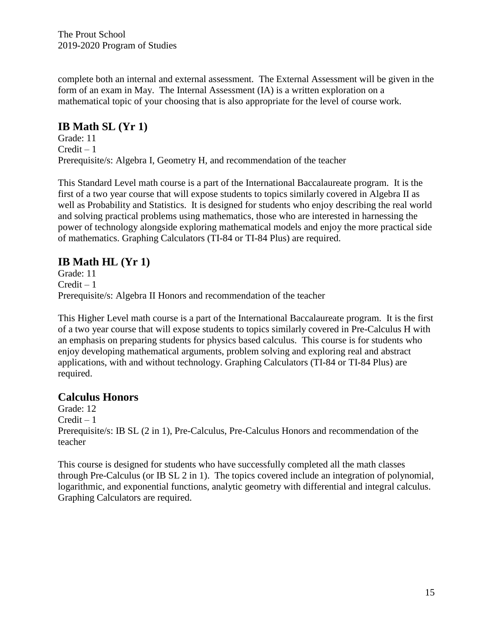complete both an internal and external assessment. The External Assessment will be given in the form of an exam in May. The Internal Assessment (IA) is a written exploration on a mathematical topic of your choosing that is also appropriate for the level of course work.

# **IB Math SL (Yr 1)**

Grade: 11  $Credit - 1$ Prerequisite/s: Algebra I, Geometry H, and recommendation of the teacher

This Standard Level math course is a part of the International Baccalaureate program. It is the first of a two year course that will expose students to topics similarly covered in Algebra II as well as Probability and Statistics. It is designed for students who enjoy describing the real world and solving practical problems using mathematics, those who are interested in harnessing the power of technology alongside exploring mathematical models and enjoy the more practical side of mathematics. Graphing Calculators (TI-84 or TI-84 Plus) are required.

# **IB Math HL (Yr 1)**

Grade: 11  $Credit - 1$ Prerequisite/s: Algebra II Honors and recommendation of the teacher

This Higher Level math course is a part of the International Baccalaureate program. It is the first of a two year course that will expose students to topics similarly covered in Pre-Calculus H with an emphasis on preparing students for physics based calculus. This course is for students who enjoy developing mathematical arguments, problem solving and exploring real and abstract applications, with and without technology. Graphing Calculators (TI-84 or TI-84 Plus) are required.

## **Calculus Honors**

Grade: 12  $Credit - 1$ Prerequisite/s: IB SL (2 in 1), Pre-Calculus, Pre-Calculus Honors and recommendation of the teacher

This course is designed for students who have successfully completed all the math classes through Pre-Calculus (or IB SL 2 in 1). The topics covered include an integration of polynomial, logarithmic, and exponential functions, analytic geometry with differential and integral calculus. Graphing Calculators are required.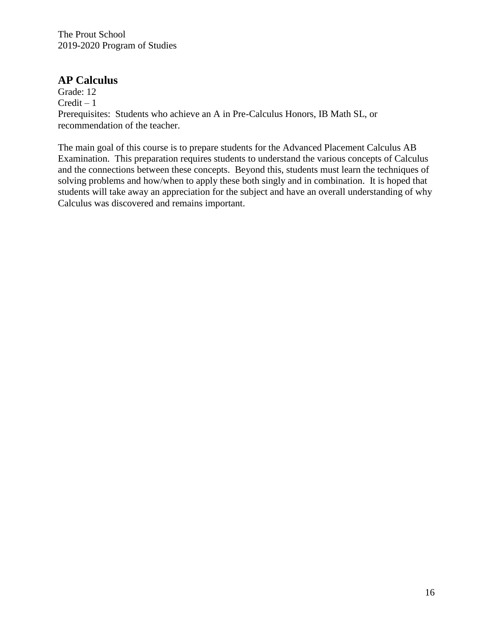#### **AP Calculus**

Grade: 12  $Credit - 1$ Prerequisites: Students who achieve an A in Pre-Calculus Honors, IB Math SL, or recommendation of the teacher.

The main goal of this course is to prepare students for the Advanced Placement Calculus AB Examination. This preparation requires students to understand the various concepts of Calculus and the connections between these concepts. Beyond this, students must learn the techniques of solving problems and how/when to apply these both singly and in combination. It is hoped that students will take away an appreciation for the subject and have an overall understanding of why Calculus was discovered and remains important.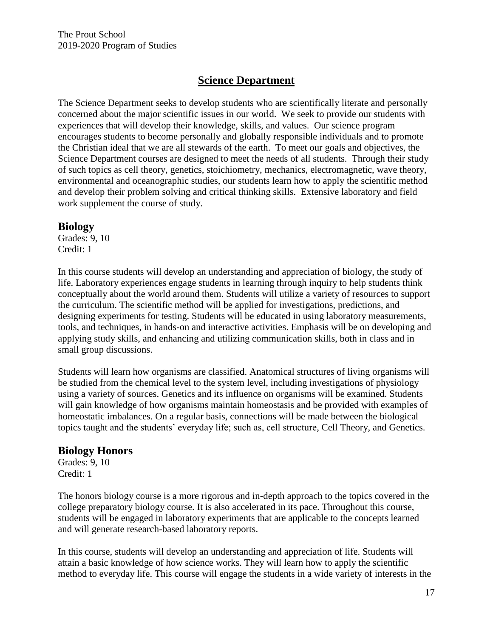## **Science Department**

The Science Department seeks to develop students who are scientifically literate and personally concerned about the major scientific issues in our world. We seek to provide our students with experiences that will develop their knowledge, skills, and values. Our science program encourages students to become personally and globally responsible individuals and to promote the Christian ideal that we are all stewards of the earth. To meet our goals and objectives, the Science Department courses are designed to meet the needs of all students. Through their study of such topics as cell theory, genetics, stoichiometry, mechanics, electromagnetic, wave theory, environmental and oceanographic studies, our students learn how to apply the scientific method and develop their problem solving and critical thinking skills. Extensive laboratory and field work supplement the course of study.

#### **Biology**

Grades: 9, 10 Credit: 1

In this course students will develop an understanding and appreciation of biology, the study of life. Laboratory experiences engage students in learning through inquiry to help students think conceptually about the world around them. Students will utilize a variety of resources to support the curriculum. The scientific method will be applied for investigations, predictions, and designing experiments for testing. Students will be educated in using laboratory measurements, tools, and techniques, in hands-on and interactive activities. Emphasis will be on developing and applying study skills, and enhancing and utilizing communication skills, both in class and in small group discussions.

Students will learn how organisms are classified. Anatomical structures of living organisms will be studied from the chemical level to the system level, including investigations of physiology using a variety of sources. Genetics and its influence on organisms will be examined. Students will gain knowledge of how organisms maintain homeostasis and be provided with examples of homeostatic imbalances. On a regular basis, connections will be made between the biological topics taught and the students' everyday life; such as, cell structure, Cell Theory, and Genetics.

## **Biology Honors**

Grades: 9, 10 Credit: 1

The honors biology course is a more rigorous and in-depth approach to the topics covered in the college preparatory biology course. It is also accelerated in its pace. Throughout this course, students will be engaged in laboratory experiments that are applicable to the concepts learned and will generate research-based laboratory reports.

In this course, students will develop an understanding and appreciation of life. Students will attain a basic knowledge of how science works. They will learn how to apply the scientific method to everyday life. This course will engage the students in a wide variety of interests in the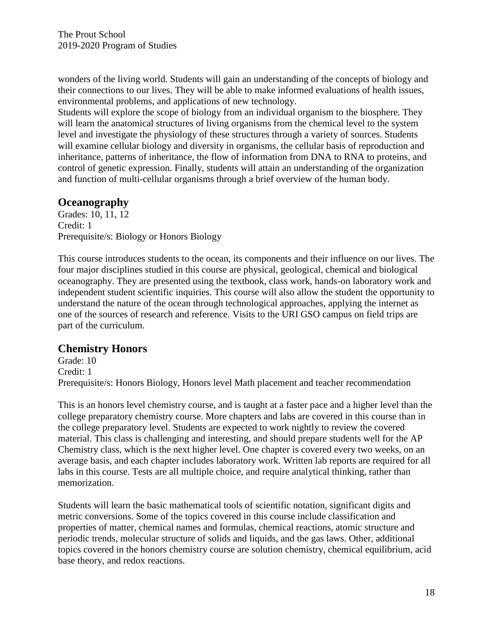wonders of the living world. Students will gain an understanding of the concepts of biology and their connections to our lives. They will be able to make informed evaluations of health issues, environmental problems, and applications of new technology.

Students will explore the scope of biology from an individual organism to the biosphere. They will learn the anatomical structures of living organisms from the chemical level to the system level and investigate the physiology of these structures through a variety of sources. Students will examine cellular biology and diversity in organisms, the cellular basis of reproduction and inheritance, patterns of inheritance, the flow of information from DNA to RNA to proteins, and control of genetic expression. Finally, students will attain an understanding of the organization and function of multi-cellular organisms through a brief overview of the human body.

## **Oceanography**

Grades: 10, 11, 12 Credit: 1 Prerequisite/s: Biology or Honors Biology

This course introduces students to the ocean, its components and their influence on our lives. The four major disciplines studied in this course are physical, geological, chemical and biological oceanography. They are presented using the textbook, class work, hands-on laboratory work and independent student scientific inquiries. This course will also allow the student the opportunity to understand the nature of the ocean through technological approaches, applying the internet as one of the sources of research and reference. Visits to the URI GSO campus on field trips are part of the curriculum.

#### **Chemistry Honors**

Grade: 10 Credit: 1 Prerequisite/s: Honors Biology, Honors level Math placement and teacher recommendation

This is an honors level chemistry course, and is taught at a faster pace and a higher level than the college preparatory chemistry course. More chapters and labs are covered in this course than in the college preparatory level. Students are expected to work nightly to review the covered material. This class is challenging and interesting, and should prepare students well for the AP Chemistry class, which is the next higher level. One chapter is covered every two weeks, on an average basis, and each chapter includes laboratory work. Written lab reports are required for all labs in this course. Tests are all multiple choice, and require analytical thinking, rather than memorization.

Students will learn the basic mathematical tools of scientific notation, significant digits and metric conversions. Some of the topics covered in this course include classification and properties of matter, chemical names and formulas, chemical reactions, atomic structure and periodic trends, molecular structure of solids and liquids, and the gas laws. Other, additional topics covered in the honors chemistry course are solution chemistry, chemical equilibrium, acid base theory, and redox reactions.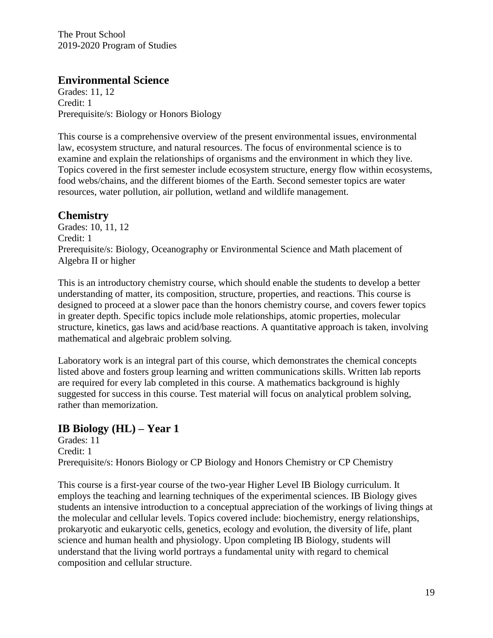### **Environmental Science**

Grades: 11, 12 Credit: 1 Prerequisite/s: Biology or Honors Biology

This course is a comprehensive overview of the present environmental issues, environmental law, ecosystem structure, and natural resources. The focus of environmental science is to examine and explain the relationships of organisms and the environment in which they live. Topics covered in the first semester include ecosystem structure, energy flow within ecosystems, food webs/chains, and the different biomes of the Earth. Second semester topics are water resources, water pollution, air pollution, wetland and wildlife management.

## **Chemistry**

Grades: 10, 11, 12 Credit: 1 Prerequisite/s: Biology, Oceanography or Environmental Science and Math placement of Algebra II or higher

This is an introductory chemistry course, which should enable the students to develop a better understanding of matter, its composition, structure, properties, and reactions. This course is designed to proceed at a slower pace than the honors chemistry course, and covers fewer topics in greater depth. Specific topics include mole relationships, atomic properties, molecular structure, kinetics, gas laws and acid/base reactions. A quantitative approach is taken, involving mathematical and algebraic problem solving.

Laboratory work is an integral part of this course, which demonstrates the chemical concepts listed above and fosters group learning and written communications skills. Written lab reports are required for every lab completed in this course. A mathematics background is highly suggested for success in this course. Test material will focus on analytical problem solving, rather than memorization.

# **IB Biology (HL) – Year 1**

Grades: 11 Credit: 1 Prerequisite/s: Honors Biology or CP Biology and Honors Chemistry or CP Chemistry

This course is a first-year course of the two-year Higher Level IB Biology curriculum. It employs the teaching and learning techniques of the experimental sciences. IB Biology gives students an intensive introduction to a conceptual appreciation of the workings of living things at the molecular and cellular levels. Topics covered include: biochemistry, energy relationships, prokaryotic and eukaryotic cells, genetics, ecology and evolution, the diversity of life, plant science and human health and physiology. Upon completing IB Biology, students will understand that the living world portrays a fundamental unity with regard to chemical composition and cellular structure.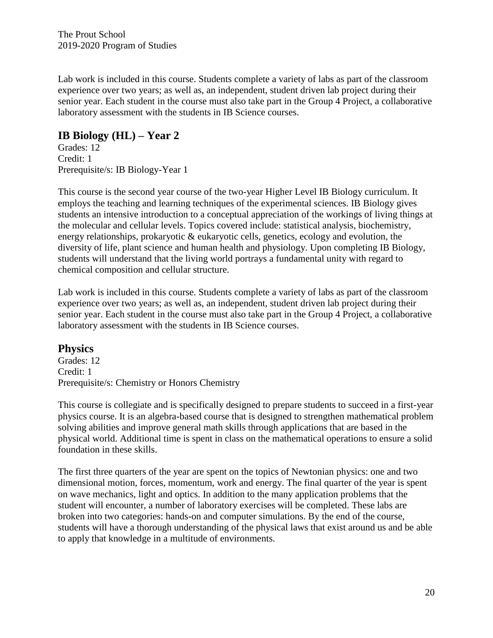Lab work is included in this course. Students complete a variety of labs as part of the classroom experience over two years; as well as, an independent, student driven lab project during their senior year. Each student in the course must also take part in the Group 4 Project, a collaborative laboratory assessment with the students in IB Science courses.

## **IB Biology (HL) – Year 2**

Grades: 12 Credit: 1 Prerequisite/s: IB Biology-Year 1

This course is the second year course of the two-year Higher Level IB Biology curriculum. It employs the teaching and learning techniques of the experimental sciences. IB Biology gives students an intensive introduction to a conceptual appreciation of the workings of living things at the molecular and cellular levels. Topics covered include: statistical analysis, biochemistry, energy relationships, prokaryotic & eukaryotic cells, genetics, ecology and evolution, the diversity of life, plant science and human health and physiology. Upon completing IB Biology, students will understand that the living world portrays a fundamental unity with regard to chemical composition and cellular structure.

Lab work is included in this course. Students complete a variety of labs as part of the classroom experience over two years; as well as, an independent, student driven lab project during their senior year. Each student in the course must also take part in the Group 4 Project, a collaborative laboratory assessment with the students in IB Science courses.

#### **Physics**

Grades: 12 Credit: 1 Prerequisite/s: Chemistry or Honors Chemistry

This course is collegiate and is specifically designed to prepare students to succeed in a first-year physics course. It is an algebra-based course that is designed to strengthen mathematical problem solving abilities and improve general math skills through applications that are based in the physical world. Additional time is spent in class on the mathematical operations to ensure a solid foundation in these skills.

The first three quarters of the year are spent on the topics of Newtonian physics: one and two dimensional motion, forces, momentum, work and energy. The final quarter of the year is spent on wave mechanics, light and optics. In addition to the many application problems that the student will encounter, a number of laboratory exercises will be completed. These labs are broken into two categories: hands-on and computer simulations. By the end of the course, students will have a thorough understanding of the physical laws that exist around us and be able to apply that knowledge in a multitude of environments.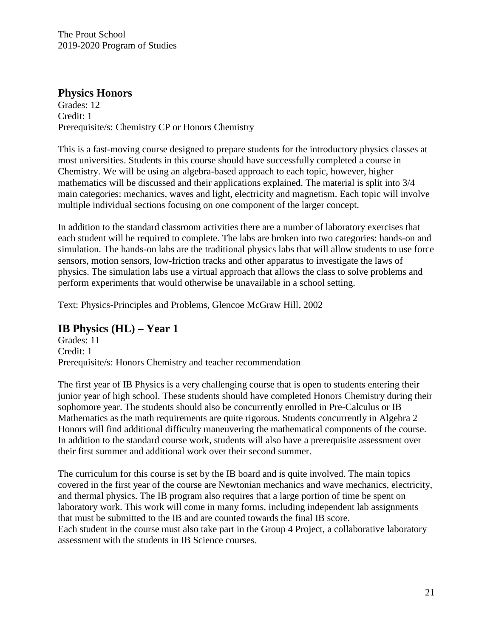#### **Physics Honors**

Grades: 12 Credit: 1 Prerequisite/s: Chemistry CP or Honors Chemistry

This is a fast-moving course designed to prepare students for the introductory physics classes at most universities. Students in this course should have successfully completed a course in Chemistry. We will be using an algebra-based approach to each topic, however, higher mathematics will be discussed and their applications explained. The material is split into 3/4 main categories: mechanics, waves and light, electricity and magnetism. Each topic will involve multiple individual sections focusing on one component of the larger concept.

In addition to the standard classroom activities there are a number of laboratory exercises that each student will be required to complete. The labs are broken into two categories: hands-on and simulation. The hands-on labs are the traditional physics labs that will allow students to use force sensors, motion sensors, low-friction tracks and other apparatus to investigate the laws of physics. The simulation labs use a virtual approach that allows the class to solve problems and perform experiments that would otherwise be unavailable in a school setting.

Text: Physics-Principles and Problems, Glencoe McGraw Hill, 2002

#### **IB Physics (HL) – Year 1**

Grades: 11 Credit: 1 Prerequisite/s: Honors Chemistry and teacher recommendation

The first year of IB Physics is a very challenging course that is open to students entering their junior year of high school. These students should have completed Honors Chemistry during their sophomore year. The students should also be concurrently enrolled in Pre-Calculus or IB Mathematics as the math requirements are quite rigorous. Students concurrently in Algebra 2 Honors will find additional difficulty maneuvering the mathematical components of the course. In addition to the standard course work, students will also have a prerequisite assessment over their first summer and additional work over their second summer.

The curriculum for this course is set by the IB board and is quite involved. The main topics covered in the first year of the course are Newtonian mechanics and wave mechanics, electricity, and thermal physics. The IB program also requires that a large portion of time be spent on laboratory work. This work will come in many forms, including independent lab assignments that must be submitted to the IB and are counted towards the final IB score. Each student in the course must also take part in the Group 4 Project, a collaborative laboratory assessment with the students in IB Science courses.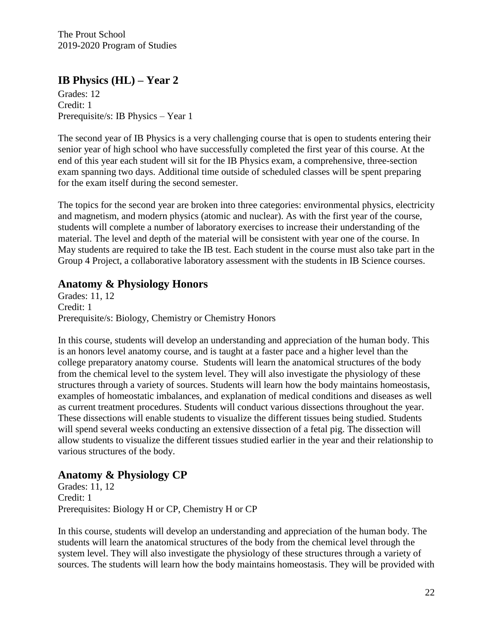## **IB Physics (HL) – Year 2**

Grades: 12 Credit: 1 Prerequisite/s: IB Physics – Year 1

The second year of IB Physics is a very challenging course that is open to students entering their senior year of high school who have successfully completed the first year of this course. At the end of this year each student will sit for the IB Physics exam, a comprehensive, three-section exam spanning two days. Additional time outside of scheduled classes will be spent preparing for the exam itself during the second semester.

The topics for the second year are broken into three categories: environmental physics, electricity and magnetism, and modern physics (atomic and nuclear). As with the first year of the course, students will complete a number of laboratory exercises to increase their understanding of the material. The level and depth of the material will be consistent with year one of the course. In May students are required to take the IB test. Each student in the course must also take part in the Group 4 Project, a collaborative laboratory assessment with the students in IB Science courses.

#### **Anatomy & Physiology Honors**

Grades: 11, 12 Credit: 1 Prerequisite/s: Biology, Chemistry or Chemistry Honors

In this course, students will develop an understanding and appreciation of the human body. This is an honors level anatomy course, and is taught at a faster pace and a higher level than the college preparatory anatomy course. Students will learn the anatomical structures of the body from the chemical level to the system level. They will also investigate the physiology of these structures through a variety of sources. Students will learn how the body maintains homeostasis, examples of homeostatic imbalances, and explanation of medical conditions and diseases as well as current treatment procedures. Students will conduct various dissections throughout the year. These dissections will enable students to visualize the different tissues being studied. Students will spend several weeks conducting an extensive dissection of a fetal pig. The dissection will allow students to visualize the different tissues studied earlier in the year and their relationship to various structures of the body.

#### **Anatomy & Physiology CP**

Grades: 11, 12 Credit: 1 Prerequisites: Biology H or CP, Chemistry H or CP

In this course, students will develop an understanding and appreciation of the human body. The students will learn the anatomical structures of the body from the chemical level through the system level. They will also investigate the physiology of these structures through a variety of sources. The students will learn how the body maintains homeostasis. They will be provided with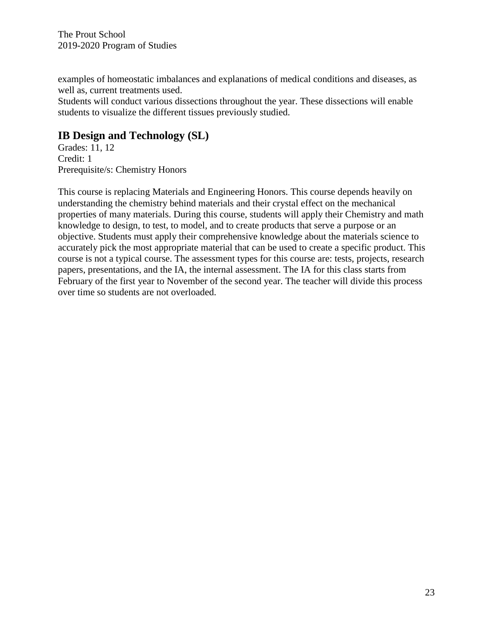examples of homeostatic imbalances and explanations of medical conditions and diseases, as well as, current treatments used.

Students will conduct various dissections throughout the year. These dissections will enable students to visualize the different tissues previously studied.

## **IB Design and Technology (SL)**

Grades: 11, 12 Credit: 1 Prerequisite/s: Chemistry Honors

This course is replacing Materials and Engineering Honors. This course depends heavily on understanding the chemistry behind materials and their crystal effect on the mechanical properties of many materials. During this course, students will apply their Chemistry and math knowledge to design, to test, to model, and to create products that serve a purpose or an objective. Students must apply their comprehensive knowledge about the materials science to accurately pick the most appropriate material that can be used to create a specific product. This course is not a typical course. The assessment types for this course are: tests, projects, research papers, presentations, and the IA, the internal assessment. The IA for this class starts from February of the first year to November of the second year. The teacher will divide this process over time so students are not overloaded.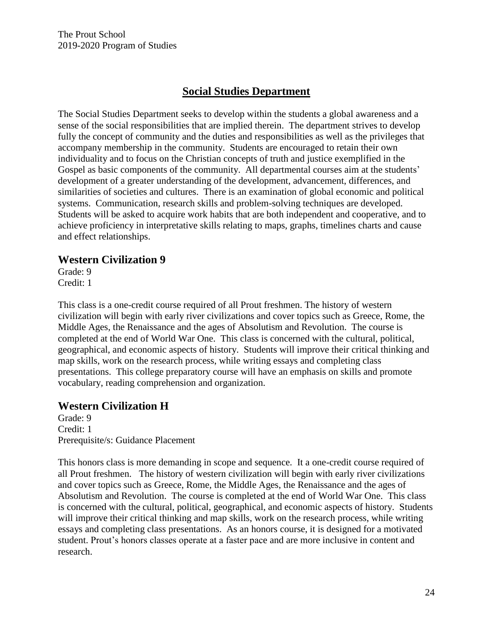# **Social Studies Department**

The Social Studies Department seeks to develop within the students a global awareness and a sense of the social responsibilities that are implied therein. The department strives to develop fully the concept of community and the duties and responsibilities as well as the privileges that accompany membership in the community. Students are encouraged to retain their own individuality and to focus on the Christian concepts of truth and justice exemplified in the Gospel as basic components of the community. All departmental courses aim at the students' development of a greater understanding of the development, advancement, differences, and similarities of societies and cultures. There is an examination of global economic and political systems. Communication, research skills and problem-solving techniques are developed. Students will be asked to acquire work habits that are both independent and cooperative, and to achieve proficiency in interpretative skills relating to maps, graphs, timelines charts and cause and effect relationships.

#### **Western Civilization 9**

Grade: 9 Credit: 1

This class is a one-credit course required of all Prout freshmen. The history of western civilization will begin with early river civilizations and cover topics such as Greece, Rome, the Middle Ages, the Renaissance and the ages of Absolutism and Revolution. The course is completed at the end of World War One. This class is concerned with the cultural, political, geographical, and economic aspects of history. Students will improve their critical thinking and map skills, work on the research process, while writing essays and completing class presentations. This college preparatory course will have an emphasis on skills and promote vocabulary, reading comprehension and organization.

## **Western Civilization H**

Grade: 9 Credit: 1 Prerequisite/s: Guidance Placement

This honors class is more demanding in scope and sequence. It a one-credit course required of all Prout freshmen. The history of western civilization will begin with early river civilizations and cover topics such as Greece, Rome, the Middle Ages, the Renaissance and the ages of Absolutism and Revolution. The course is completed at the end of World War One. This class is concerned with the cultural, political, geographical, and economic aspects of history. Students will improve their critical thinking and map skills, work on the research process, while writing essays and completing class presentations. As an honors course, it is designed for a motivated student. Prout's honors classes operate at a faster pace and are more inclusive in content and research.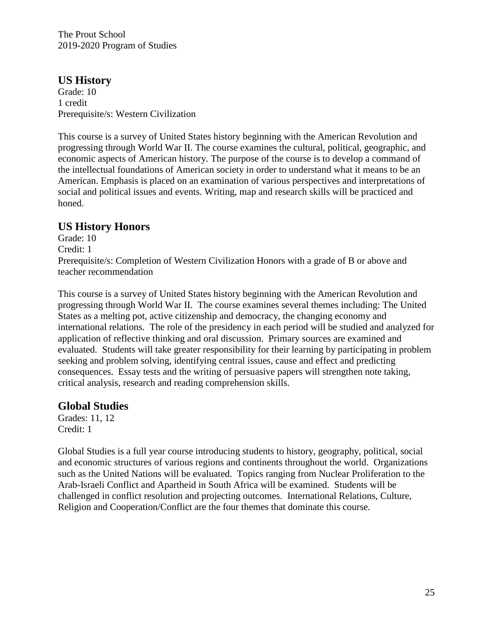## **US History**

Grade: 10 1 credit Prerequisite/s: Western Civilization

This course is a survey of United States history beginning with the American Revolution and progressing through World War II. The course examines the cultural, political, geographic, and economic aspects of American history. The purpose of the course is to develop a command of the intellectual foundations of American society in order to understand what it means to be an American. Emphasis is placed on an examination of various perspectives and interpretations of social and political issues and events. Writing, map and research skills will be practiced and honed.

#### **US History Honors**

Grade: 10 Credit: 1 Prerequisite/s: Completion of Western Civilization Honors with a grade of B or above and teacher recommendation

This course is a survey of United States history beginning with the American Revolution and progressing through World War II. The course examines several themes including: The United States as a melting pot, active citizenship and democracy, the changing economy and international relations. The role of the presidency in each period will be studied and analyzed for application of reflective thinking and oral discussion. Primary sources are examined and evaluated. Students will take greater responsibility for their learning by participating in problem seeking and problem solving, identifying central issues, cause and effect and predicting consequences. Essay tests and the writing of persuasive papers will strengthen note taking, critical analysis, research and reading comprehension skills.

#### **Global Studies**

Grades: 11, 12 Credit: 1

Global Studies is a full year course introducing students to history, geography, political, social and economic structures of various regions and continents throughout the world. Organizations such as the United Nations will be evaluated. Topics ranging from Nuclear Proliferation to the Arab-Israeli Conflict and Apartheid in South Africa will be examined. Students will be challenged in conflict resolution and projecting outcomes. International Relations, Culture, Religion and Cooperation/Conflict are the four themes that dominate this course.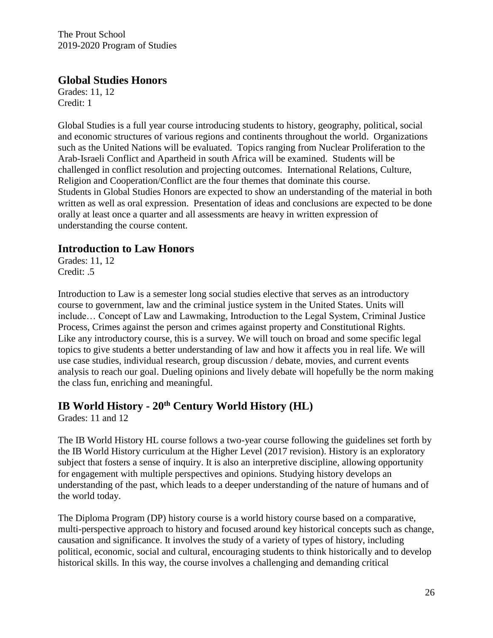#### **Global Studies Honors**

Grades: 11, 12 Credit: 1

Global Studies is a full year course introducing students to history, geography, political, social and economic structures of various regions and continents throughout the world. Organizations such as the United Nations will be evaluated. Topics ranging from Nuclear Proliferation to the Arab-Israeli Conflict and Apartheid in south Africa will be examined. Students will be challenged in conflict resolution and projecting outcomes. International Relations, Culture, Religion and Cooperation/Conflict are the four themes that dominate this course. Students in Global Studies Honors are expected to show an understanding of the material in both written as well as oral expression. Presentation of ideas and conclusions are expected to be done orally at least once a quarter and all assessments are heavy in written expression of understanding the course content.

## **Introduction to Law Honors**

Grades: 11, 12 Credit: .5

Introduction to Law is a semester long social studies elective that serves as an introductory course to government, law and the criminal justice system in the United States. Units will include… Concept of Law and Lawmaking, Introduction to the Legal System, Criminal Justice Process, Crimes against the person and crimes against property and Constitutional Rights. Like any introductory course, this is a survey. We will touch on broad and some specific legal topics to give students a better understanding of law and how it affects you in real life. We will use case studies, individual research, group discussion / debate, movies, and current events analysis to reach our goal. Dueling opinions and lively debate will hopefully be the norm making the class fun, enriching and meaningful.

# **IB World History - 20th Century World History (HL)**

Grades: 11 and 12

The IB World History HL course follows a two-year course following the guidelines set forth by the IB World History curriculum at the Higher Level (2017 revision). History is an exploratory subject that fosters a sense of inquiry. It is also an interpretive discipline, allowing opportunity for engagement with multiple perspectives and opinions. Studying history develops an understanding of the past, which leads to a deeper understanding of the nature of humans and of the world today.

The Diploma Program (DP) history course is a world history course based on a comparative, multi-perspective approach to history and focused around key historical concepts such as change, causation and significance. It involves the study of a variety of types of history, including political, economic, social and cultural, encouraging students to think historically and to develop historical skills. In this way, the course involves a challenging and demanding critical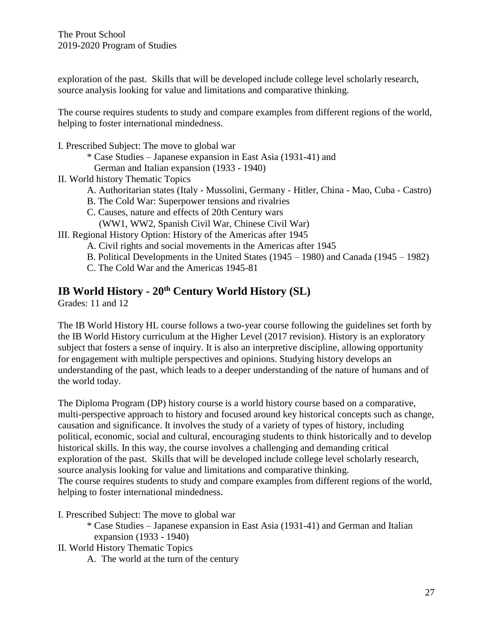exploration of the past. Skills that will be developed include college level scholarly research, source analysis looking for value and limitations and comparative thinking.

The course requires students to study and compare examples from different regions of the world, helping to foster international mindedness.

I. Prescribed Subject: The move to global war

- \* Case Studies Japanese expansion in East Asia (1931-41) and
- German and Italian expansion (1933 1940)
- II. World history Thematic Topics
	- A. Authoritarian states (Italy Mussolini, Germany Hitler, China Mao, Cuba Castro)
	- B. The Cold War: Superpower tensions and rivalries
	- C. Causes, nature and effects of 20th Century wars
	- (WW1, WW2, Spanish Civil War, Chinese Civil War)
- III. Regional History Option: History of the Americas after 1945
	- A. Civil rights and social movements in the Americas after 1945
	- B. Political Developments in the United States (1945 1980) and Canada (1945 1982)
	- C. The Cold War and the Americas 1945-81

# **IB World History - 20th Century World History (SL)**

Grades: 11 and 12

The IB World History HL course follows a two-year course following the guidelines set forth by the IB World History curriculum at the Higher Level (2017 revision). History is an exploratory subject that fosters a sense of inquiry. It is also an interpretive discipline, allowing opportunity for engagement with multiple perspectives and opinions. Studying history develops an understanding of the past, which leads to a deeper understanding of the nature of humans and of the world today.

The Diploma Program (DP) history course is a world history course based on a comparative, multi-perspective approach to history and focused around key historical concepts such as change, causation and significance. It involves the study of a variety of types of history, including political, economic, social and cultural, encouraging students to think historically and to develop historical skills. In this way, the course involves a challenging and demanding critical exploration of the past. Skills that will be developed include college level scholarly research, source analysis looking for value and limitations and comparative thinking. The course requires students to study and compare examples from different regions of the world, helping to foster international mindedness.

I. Prescribed Subject: The move to global war

\* Case Studies – Japanese expansion in East Asia (1931-41) and German and Italian expansion (1933 - 1940)

II. World History Thematic Topics

A. The world at the turn of the century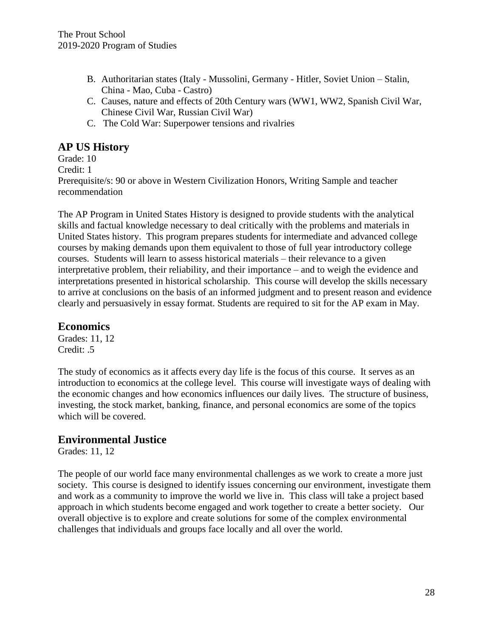- B. Authoritarian states (Italy Mussolini, Germany Hitler, Soviet Union Stalin, China - Mao, Cuba - Castro)
- C. Causes, nature and effects of 20th Century wars (WW1, WW2, Spanish Civil War, Chinese Civil War, Russian Civil War)
- C. The Cold War: Superpower tensions and rivalries

## **AP US History**

Grade: 10

Credit: 1

Prerequisite/s: 90 or above in Western Civilization Honors, Writing Sample and teacher recommendation

The AP Program in United States History is designed to provide students with the analytical skills and factual knowledge necessary to deal critically with the problems and materials in United States history. This program prepares students for intermediate and advanced college courses by making demands upon them equivalent to those of full year introductory college courses. Students will learn to assess historical materials – their relevance to a given interpretative problem, their reliability, and their importance – and to weigh the evidence and interpretations presented in historical scholarship. This course will develop the skills necessary to arrive at conclusions on the basis of an informed judgment and to present reason and evidence clearly and persuasively in essay format. Students are required to sit for the AP exam in May.

## **Economics**

Grades: 11, 12 Credit: .5

The study of economics as it affects every day life is the focus of this course. It serves as an introduction to economics at the college level. This course will investigate ways of dealing with the economic changes and how economics influences our daily lives. The structure of business, investing, the stock market, banking, finance, and personal economics are some of the topics which will be covered.

## **Environmental Justice**

Grades: 11, 12

The people of our world face many environmental challenges as we work to create a more just society. This course is designed to identify issues concerning our environment, investigate them and work as a community to improve the world we live in. This class will take a project based approach in which students become engaged and work together to create a better society. Our overall objective is to explore and create solutions for some of the complex environmental challenges that individuals and groups face locally and all over the world.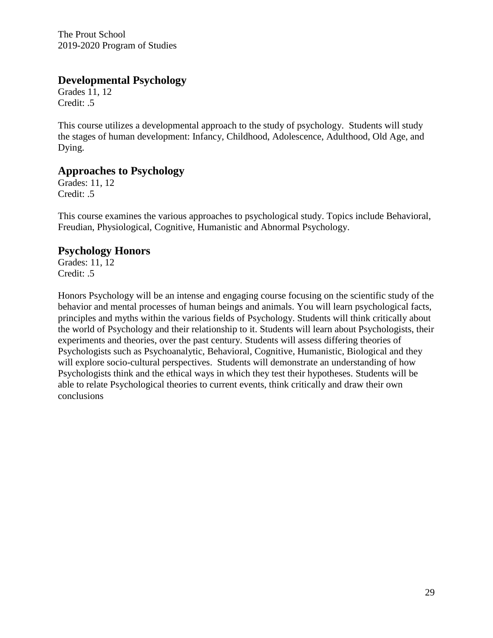## **Developmental Psychology**

Grades 11, 12 Credit: .5

This course utilizes a developmental approach to the study of psychology. Students will study the stages of human development: Infancy, Childhood, Adolescence, Adulthood, Old Age, and Dying.

## **Approaches to Psychology**

Grades: 11, 12 Credit: .5

This course examines the various approaches to psychological study. Topics include Behavioral, Freudian, Physiological, Cognitive, Humanistic and Abnormal Psychology.

#### **Psychology Honors**

Grades: 11, 12 Credit: .5

Honors Psychology will be an intense and engaging course focusing on the scientific study of the behavior and mental processes of human beings and animals. You will learn psychological facts, principles and myths within the various fields of Psychology. Students will think critically about the world of Psychology and their relationship to it. Students will learn about Psychologists, their experiments and theories, over the past century. Students will assess differing theories of Psychologists such as Psychoanalytic, Behavioral, Cognitive, Humanistic, Biological and they will explore socio-cultural perspectives. Students will demonstrate an understanding of how Psychologists think and the ethical ways in which they test their hypotheses. Students will be able to relate Psychological theories to current events, think critically and draw their own conclusions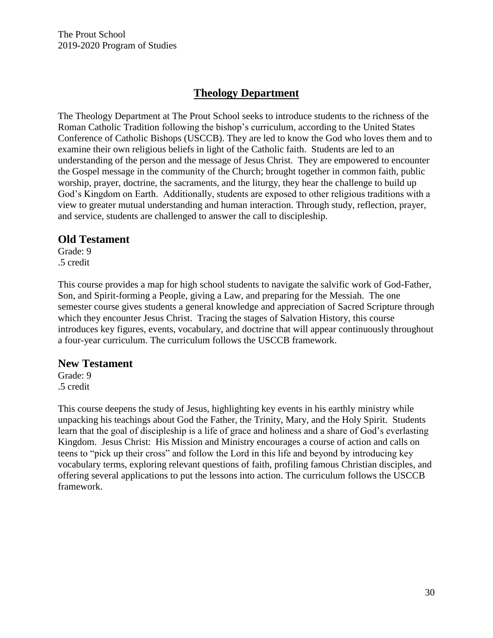# **Theology Department**

The Theology Department at The Prout School seeks to introduce students to the richness of the Roman Catholic Tradition following the bishop's curriculum, according to the United States Conference of Catholic Bishops (USCCB). They are led to know the God who loves them and to examine their own religious beliefs in light of the Catholic faith. Students are led to an understanding of the person and the message of Jesus Christ. They are empowered to encounter the Gospel message in the community of the Church; brought together in common faith, public worship, prayer, doctrine, the sacraments, and the liturgy, they hear the challenge to build up God's Kingdom on Earth. Additionally, students are exposed to other religious traditions with a view to greater mutual understanding and human interaction. Through study, reflection, prayer, and service, students are challenged to answer the call to discipleship.

#### **Old Testament**

Grade: 9 .5 credit

This course provides a map for high school students to navigate the salvific work of God-Father, Son, and Spirit-forming a People, giving a Law, and preparing for the Messiah. The one semester course gives students a general knowledge and appreciation of Sacred Scripture through which they encounter Jesus Christ. Tracing the stages of Salvation History, this course introduces key figures, events, vocabulary, and doctrine that will appear continuously throughout a four-year curriculum. The curriculum follows the USCCB framework.

#### **New Testament**

Grade: 9 .5 credit

This course deepens the study of Jesus, highlighting key events in his earthly ministry while unpacking his teachings about God the Father, the Trinity, Mary, and the Holy Spirit. Students learn that the goal of discipleship is a life of grace and holiness and a share of God's everlasting Kingdom. Jesus Christ: His Mission and Ministry encourages a course of action and calls on teens to "pick up their cross" and follow the Lord in this life and beyond by introducing key vocabulary terms, exploring relevant questions of faith, profiling famous Christian disciples, and offering several applications to put the lessons into action. The curriculum follows the USCCB framework.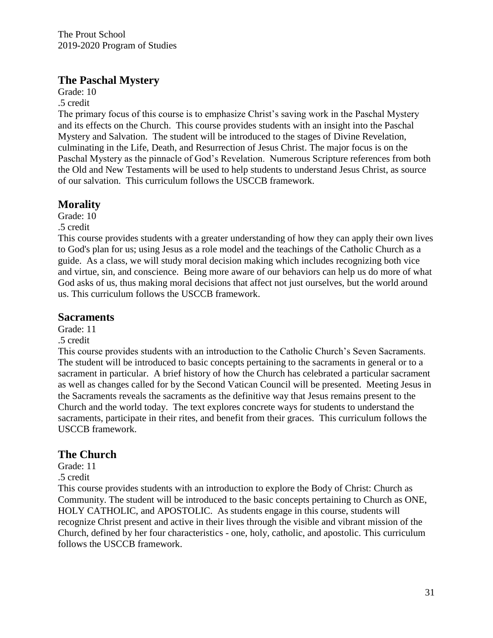## **The Paschal Mystery**

Grade: 10

.5 credit

The primary focus of this course is to emphasize Christ's saving work in the Paschal Mystery and its effects on the Church. This course provides students with an insight into the Paschal Mystery and Salvation. The student will be introduced to the stages of Divine Revelation, culminating in the Life, Death, and Resurrection of Jesus Christ. The major focus is on the Paschal Mystery as the pinnacle of God's Revelation. Numerous Scripture references from both the Old and New Testaments will be used to help students to understand Jesus Christ, as source of our salvation. This curriculum follows the USCCB framework.

# **Morality**

Grade: 10

.5 credit

This course provides students with a greater understanding of how they can apply their own lives to God's plan for us; using Jesus as a role model and the teachings of the Catholic Church as a guide. As a class, we will study moral decision making which includes recognizing both vice and virtue, sin, and conscience. Being more aware of our behaviors can help us do more of what God asks of us, thus making moral decisions that affect not just ourselves, but the world around us. This curriculum follows the USCCB framework.

## **Sacraments**

Grade: 11

.5 credit

This course provides students with an introduction to the Catholic Church's Seven Sacraments. The student will be introduced to basic concepts pertaining to the sacraments in general or to a sacrament in particular. A brief history of how the Church has celebrated a particular sacrament as well as changes called for by the Second Vatican Council will be presented. Meeting Jesus in the Sacraments reveals the sacraments as the definitive way that Jesus remains present to the Church and the world today. The text explores concrete ways for students to understand the sacraments, participate in their rites, and benefit from their graces. This curriculum follows the USCCB framework.

## **The Church**

Grade: 11

#### .5 credit

This course provides students with an introduction to explore the Body of Christ: Church as Community. The student will be introduced to the basic concepts pertaining to Church as ONE, HOLY CATHOLIC, and APOSTOLIC. As students engage in this course, students will recognize Christ present and active in their lives through the visible and vibrant mission of the Church, defined by her four characteristics - one, holy, catholic, and apostolic. This curriculum follows the USCCB framework.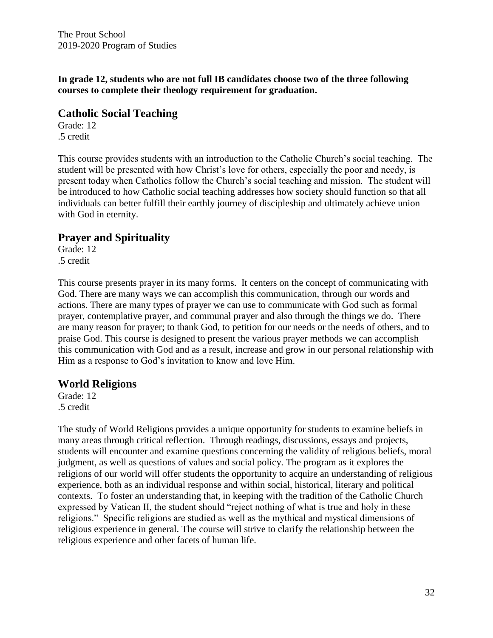**In grade 12, students who are not full IB candidates choose two of the three following courses to complete their theology requirement for graduation.**

#### **Catholic Social Teaching**

Grade: 12 .5 credit

This course provides students with an introduction to the Catholic Church's social teaching. The student will be presented with how Christ's love for others, especially the poor and needy, is present today when Catholics follow the Church's social teaching and mission. The student will be introduced to how Catholic social teaching addresses how society should function so that all individuals can better fulfill their earthly journey of discipleship and ultimately achieve union with God in eternity.

## **Prayer and Spirituality**

Grade: 12 .5 credit

This course presents prayer in its many forms. It centers on the concept of communicating with God. There are many ways we can accomplish this communication, through our words and actions. There are many types of prayer we can use to communicate with God such as formal prayer, contemplative prayer, and communal prayer and also through the things we do. There are many reason for prayer; to thank God, to petition for our needs or the needs of others, and to praise God. This course is designed to present the various prayer methods we can accomplish this communication with God and as a result, increase and grow in our personal relationship with Him as a response to God's invitation to know and love Him.

#### **World Religions**

Grade: 12 .5 credit

The study of World Religions provides a unique opportunity for students to examine beliefs in many areas through critical reflection. Through readings, discussions, essays and projects, students will encounter and examine questions concerning the validity of religious beliefs, moral judgment, as well as questions of values and social policy. The program as it explores the religions of our world will offer students the opportunity to acquire an understanding of religious experience, both as an individual response and within social, historical, literary and political contexts. To foster an understanding that, in keeping with the tradition of the Catholic Church expressed by Vatican II, the student should "reject nothing of what is true and holy in these religions." Specific religions are studied as well as the mythical and mystical dimensions of religious experience in general. The course will strive to clarify the relationship between the religious experience and other facets of human life.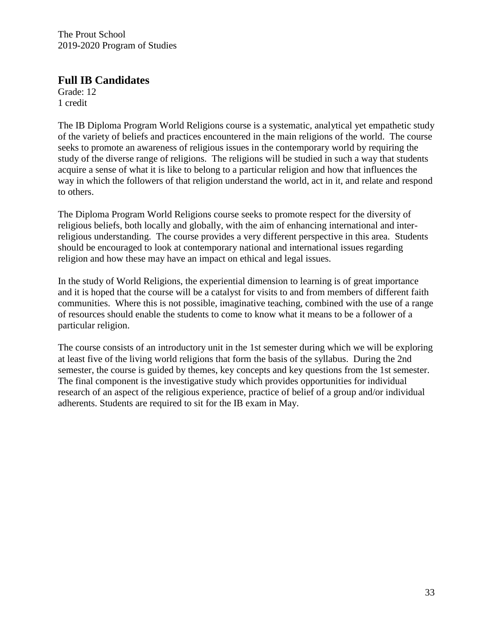#### **Full IB Candidates**

Grade: 12 1 credit

The IB Diploma Program World Religions course is a systematic, analytical yet empathetic study of the variety of beliefs and practices encountered in the main religions of the world. The course seeks to promote an awareness of religious issues in the contemporary world by requiring the study of the diverse range of religions. The religions will be studied in such a way that students acquire a sense of what it is like to belong to a particular religion and how that influences the way in which the followers of that religion understand the world, act in it, and relate and respond to others.

The Diploma Program World Religions course seeks to promote respect for the diversity of religious beliefs, both locally and globally, with the aim of enhancing international and interreligious understanding. The course provides a very different perspective in this area. Students should be encouraged to look at contemporary national and international issues regarding religion and how these may have an impact on ethical and legal issues.

In the study of World Religions, the experiential dimension to learning is of great importance and it is hoped that the course will be a catalyst for visits to and from members of different faith communities. Where this is not possible, imaginative teaching, combined with the use of a range of resources should enable the students to come to know what it means to be a follower of a particular religion.

The course consists of an introductory unit in the 1st semester during which we will be exploring at least five of the living world religions that form the basis of the syllabus. During the 2nd semester, the course is guided by themes, key concepts and key questions from the 1st semester. The final component is the investigative study which provides opportunities for individual research of an aspect of the religious experience, practice of belief of a group and/or individual adherents. Students are required to sit for the IB exam in May.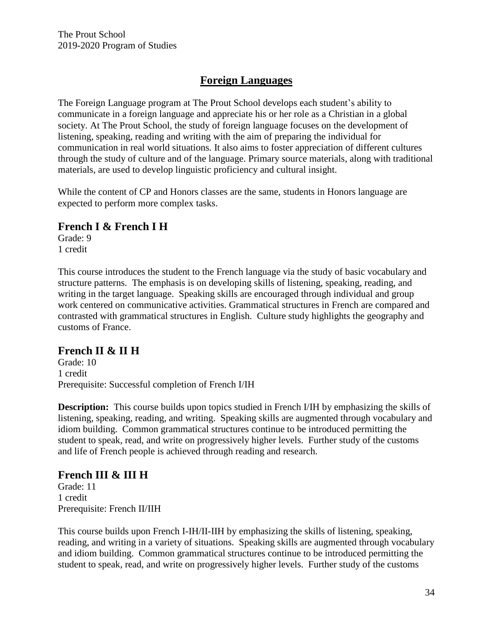# **Foreign Languages**

The Foreign Language program at The Prout School develops each student's ability to communicate in a foreign language and appreciate his or her role as a Christian in a global society. At The Prout School, the study of foreign language focuses on the development of listening, speaking, reading and writing with the aim of preparing the individual for communication in real world situations. It also aims to foster appreciation of different cultures through the study of culture and of the language. Primary source materials, along with traditional materials, are used to develop linguistic proficiency and cultural insight.

While the content of CP and Honors classes are the same, students in Honors language are expected to perform more complex tasks.

## **French I & French I H**

Grade: 9 1 credit

This course introduces the student to the French language via the study of basic vocabulary and structure patterns. The emphasis is on developing skills of listening, speaking, reading, and writing in the target language. Speaking skills are encouraged through individual and group work centered on communicative activities. Grammatical structures in French are compared and contrasted with grammatical structures in English. Culture study highlights the geography and customs of France.

## **French II & II H**

Grade: 10 1 credit Prerequisite: Successful completion of French I/IH

**Description:** This course builds upon topics studied in French I/IH by emphasizing the skills of listening, speaking, reading, and writing. Speaking skills are augmented through vocabulary and idiom building. Common grammatical structures continue to be introduced permitting the student to speak, read, and write on progressively higher levels. Further study of the customs and life of French people is achieved through reading and research.

## **French III & III H**

Grade: 11 1 credit Prerequisite: French II/IIH

This course builds upon French I-IH/II-IIH by emphasizing the skills of listening, speaking, reading, and writing in a variety of situations. Speaking skills are augmented through vocabulary and idiom building. Common grammatical structures continue to be introduced permitting the student to speak, read, and write on progressively higher levels. Further study of the customs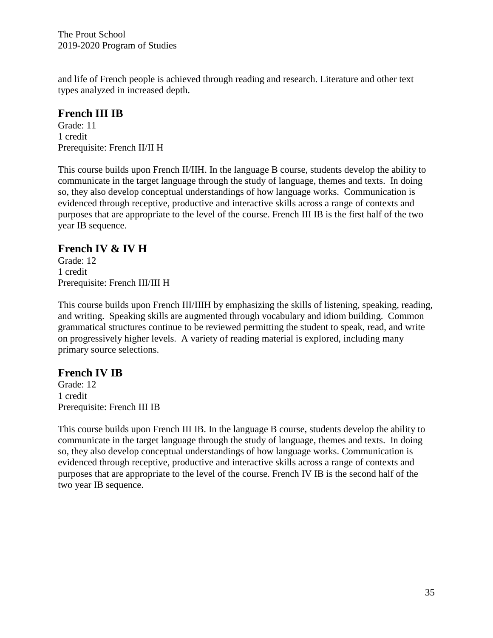and life of French people is achieved through reading and research. Literature and other text types analyzed in increased depth.

## **French III IB**

Grade: 11 1 credit Prerequisite: French II/II H

This course builds upon French II/IIH. In the language B course, students develop the ability to communicate in the target language through the study of language, themes and texts. In doing so, they also develop conceptual understandings of how language works. Communication is evidenced through receptive, productive and interactive skills across a range of contexts and purposes that are appropriate to the level of the course. French III IB is the first half of the two year IB sequence.

#### **French IV & IV H**

Grade: 12 1 credit Prerequisite: French III/III H

This course builds upon French III/IIIH by emphasizing the skills of listening, speaking, reading, and writing. Speaking skills are augmented through vocabulary and idiom building. Common grammatical structures continue to be reviewed permitting the student to speak, read, and write on progressively higher levels. A variety of reading material is explored, including many primary source selections.

#### **French IV IB**

Grade: 12 1 credit Prerequisite: French III IB

This course builds upon French III IB. In the language B course, students develop the ability to communicate in the target language through the study of language, themes and texts. In doing so, they also develop conceptual understandings of how language works. Communication is evidenced through receptive, productive and interactive skills across a range of contexts and purposes that are appropriate to the level of the course. French IV IB is the second half of the two year IB sequence.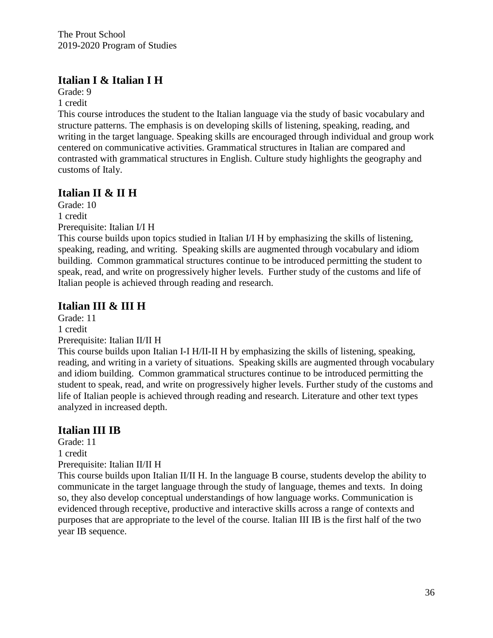# **Italian I & Italian I H**

Grade: 9

1 credit

This course introduces the student to the Italian language via the study of basic vocabulary and structure patterns. The emphasis is on developing skills of listening, speaking, reading, and writing in the target language. Speaking skills are encouraged through individual and group work centered on communicative activities. Grammatical structures in Italian are compared and contrasted with grammatical structures in English. Culture study highlights the geography and customs of Italy.

# **Italian II & II H**

Grade: 10 1 credit Prerequisite: Italian I/I H

This course builds upon topics studied in Italian I/I H by emphasizing the skills of listening, speaking, reading, and writing. Speaking skills are augmented through vocabulary and idiom building. Common grammatical structures continue to be introduced permitting the student to speak, read, and write on progressively higher levels. Further study of the customs and life of Italian people is achieved through reading and research.

# **Italian III & III H**

Grade: 11 1 credit Prerequisite: Italian II/II H

This course builds upon Italian I-I H/II-II H by emphasizing the skills of listening, speaking, reading, and writing in a variety of situations. Speaking skills are augmented through vocabulary and idiom building. Common grammatical structures continue to be introduced permitting the student to speak, read, and write on progressively higher levels. Further study of the customs and life of Italian people is achieved through reading and research. Literature and other text types analyzed in increased depth.

# **Italian III IB**

Grade: 11 1 credit Prerequisite: Italian II/II H

This course builds upon Italian II/II H. In the language B course, students develop the ability to communicate in the target language through the study of language, themes and texts. In doing so, they also develop conceptual understandings of how language works. Communication is evidenced through receptive, productive and interactive skills across a range of contexts and purposes that are appropriate to the level of the course. Italian III IB is the first half of the two year IB sequence.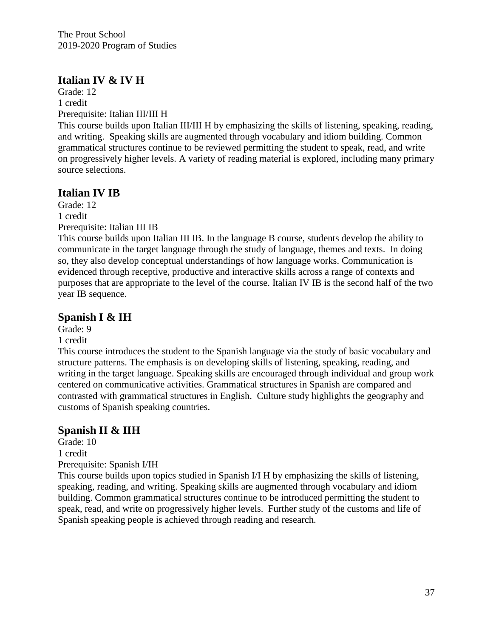# **Italian IV & IV H**

Grade: 12 1 credit Prerequisite: Italian III/III H

This course builds upon Italian III/III H by emphasizing the skills of listening, speaking, reading, and writing. Speaking skills are augmented through vocabulary and idiom building. Common grammatical structures continue to be reviewed permitting the student to speak, read, and write on progressively higher levels. A variety of reading material is explored, including many primary source selections.

# **Italian IV IB**

Grade: 12 1 credit Prerequisite: Italian III IB

This course builds upon Italian III IB. In the language B course, students develop the ability to communicate in the target language through the study of language, themes and texts. In doing so, they also develop conceptual understandings of how language works. Communication is evidenced through receptive, productive and interactive skills across a range of contexts and purposes that are appropriate to the level of the course. Italian IV IB is the second half of the two year IB sequence.

# **Spanish I & IH**

Grade: 9

1 credit

This course introduces the student to the Spanish language via the study of basic vocabulary and structure patterns. The emphasis is on developing skills of listening, speaking, reading, and writing in the target language. Speaking skills are encouraged through individual and group work centered on communicative activities. Grammatical structures in Spanish are compared and contrasted with grammatical structures in English. Culture study highlights the geography and customs of Spanish speaking countries.

# **Spanish II & IIH**

Grade: 10 1 credit Prerequisite: Spanish I/IH

This course builds upon topics studied in Spanish I/I H by emphasizing the skills of listening, speaking, reading, and writing. Speaking skills are augmented through vocabulary and idiom building. Common grammatical structures continue to be introduced permitting the student to speak, read, and write on progressively higher levels. Further study of the customs and life of Spanish speaking people is achieved through reading and research.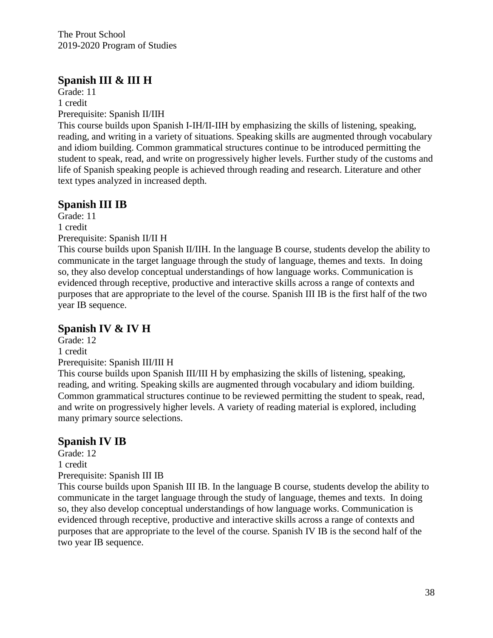# **Spanish III & III H**

Grade: 11 1 credit Prerequisite: Spanish II/IIH

This course builds upon Spanish I-IH/II-IIH by emphasizing the skills of listening, speaking, reading, and writing in a variety of situations. Speaking skills are augmented through vocabulary and idiom building. Common grammatical structures continue to be introduced permitting the student to speak, read, and write on progressively higher levels. Further study of the customs and life of Spanish speaking people is achieved through reading and research. Literature and other text types analyzed in increased depth.

# **Spanish III IB**

Grade: 11 1 credit

Prerequisite: Spanish II/II H

This course builds upon Spanish II/IIH. In the language B course, students develop the ability to communicate in the target language through the study of language, themes and texts. In doing so, they also develop conceptual understandings of how language works. Communication is evidenced through receptive, productive and interactive skills across a range of contexts and purposes that are appropriate to the level of the course. Spanish III IB is the first half of the two year IB sequence.

# **Spanish IV & IV H**

Grade: 12 1 credit Prerequisite: Spanish III/III H

This course builds upon Spanish III/III H by emphasizing the skills of listening, speaking, reading, and writing. Speaking skills are augmented through vocabulary and idiom building. Common grammatical structures continue to be reviewed permitting the student to speak, read, and write on progressively higher levels. A variety of reading material is explored, including many primary source selections.

# **Spanish IV IB**

Grade: 12 1 credit Prerequisite: Spanish III IB

This course builds upon Spanish III IB. In the language B course, students develop the ability to communicate in the target language through the study of language, themes and texts. In doing so, they also develop conceptual understandings of how language works. Communication is evidenced through receptive, productive and interactive skills across a range of contexts and purposes that are appropriate to the level of the course. Spanish IV IB is the second half of the two year IB sequence.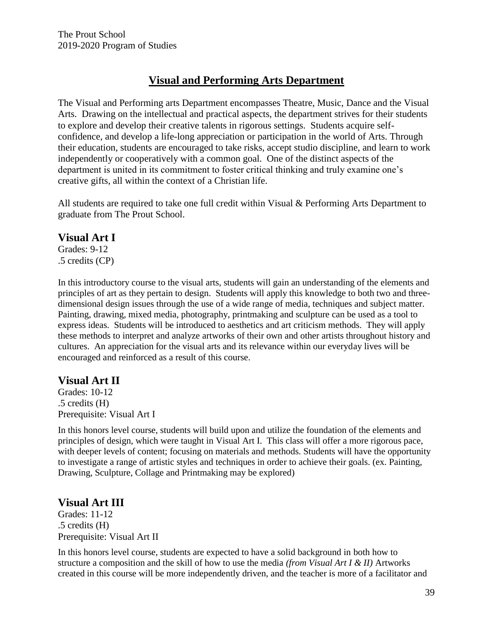# **Visual and Performing Arts Department**

The Visual and Performing arts Department encompasses Theatre, Music, Dance and the Visual Arts. Drawing on the intellectual and practical aspects, the department strives for their students to explore and develop their creative talents in rigorous settings. Students acquire selfconfidence, and develop a life-long appreciation or participation in the world of Arts. Through their education, students are encouraged to take risks, accept studio discipline, and learn to work independently or cooperatively with a common goal. One of the distinct aspects of the department is united in its commitment to foster critical thinking and truly examine one's creative gifts, all within the context of a Christian life.

All students are required to take one full credit within Visual & Performing Arts Department to graduate from The Prout School.

#### **Visual Art I**

Grades: 9-12 .5 credits (CP)

In this introductory course to the visual arts, students will gain an understanding of the elements and principles of art as they pertain to design. Students will apply this knowledge to both two and threedimensional design issues through the use of a wide range of media, techniques and subject matter. Painting, drawing, mixed media, photography, printmaking and sculpture can be used as a tool to express ideas. Students will be introduced to aesthetics and art criticism methods. They will apply these methods to interpret and analyze artworks of their own and other artists throughout history and cultures. An appreciation for the visual arts and its relevance within our everyday lives will be encouraged and reinforced as a result of this course.

## **Visual Art II**

Grades: 10-12 .5 credits (H) Prerequisite: Visual Art I

In this honors level course, students will build upon and utilize the foundation of the elements and principles of design, which were taught in Visual Art I. This class will offer a more rigorous pace, with deeper levels of content; focusing on materials and methods. Students will have the opportunity to investigate a range of artistic styles and techniques in order to achieve their goals. (ex. Painting, Drawing, Sculpture, Collage and Printmaking may be explored)

## **Visual Art III**

Grades: 11-12 .5 credits (H) Prerequisite: Visual Art II

In this honors level course, students are expected to have a solid background in both how to structure a composition and the skill of how to use the media *(from Visual Art I & II)* Artworks created in this course will be more independently driven, and the teacher is more of a facilitator and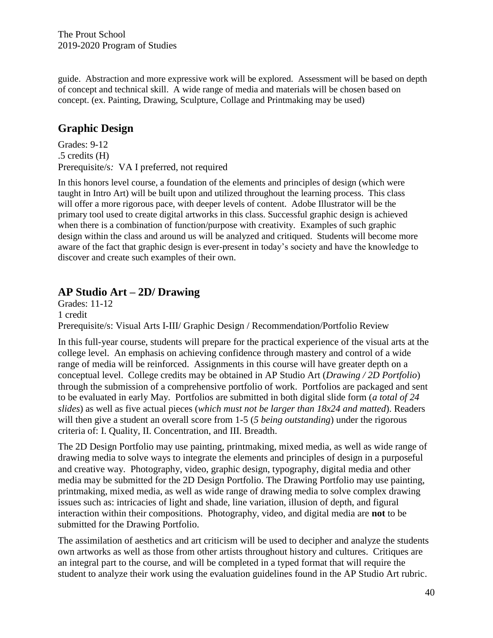guide. Abstraction and more expressive work will be explored. Assessment will be based on depth of concept and technical skill. A wide range of media and materials will be chosen based on concept. (ex. Painting, Drawing, Sculpture, Collage and Printmaking may be used)

# **Graphic Design**

Grades: 9-12 .5 credits (H) Prerequisite/s*:* VA I preferred, not required

In this honors level course, a foundation of the elements and principles of design (which were taught in Intro Art) will be built upon and utilized throughout the learning process. This class will offer a more rigorous pace, with deeper levels of content. Adobe Illustrator will be the primary tool used to create digital artworks in this class. Successful graphic design is achieved when there is a combination of function/purpose with creativity. Examples of such graphic design within the class and around us will be analyzed and critiqued. Students will become more aware of the fact that graphic design is ever-present in today's society and have the knowledge to discover and create such examples of their own.

# **AP Studio Art – 2D/ Drawing**

Grades: 11-12 1 credit Prerequisite/s: Visual Arts I-III/ Graphic Design / Recommendation/Portfolio Review

In this full-year course, students will prepare for the practical experience of the visual arts at the college level. An emphasis on achieving confidence through mastery and control of a wide range of media will be reinforced. Assignments in this course will have greater depth on a conceptual level. College credits may be obtained in AP Studio Art (*Drawing / 2D Portfolio*) through the submission of a comprehensive portfolio of work. Portfolios are packaged and sent to be evaluated in early May. Portfolios are submitted in both digital slide form (*a total of 24 slides*) as well as five actual pieces (*which must not be larger than 18x24 and matted*). Readers will then give a student an overall score from 1-5 (*5 being outstanding*) under the rigorous criteria of: I. Quality, II. Concentration, and III. Breadth.

The 2D Design Portfolio may use painting, printmaking, mixed media, as well as wide range of drawing media to solve ways to integrate the elements and principles of design in a purposeful and creative way. Photography, video, graphic design, typography, digital media and other media may be submitted for the 2D Design Portfolio. The Drawing Portfolio may use painting, printmaking, mixed media, as well as wide range of drawing media to solve complex drawing issues such as: intricacies of light and shade, line variation, illusion of depth, and figural interaction within their compositions. Photography, video, and digital media are **not** to be submitted for the Drawing Portfolio.

The assimilation of aesthetics and art criticism will be used to decipher and analyze the students own artworks as well as those from other artists throughout history and cultures. Critiques are an integral part to the course, and will be completed in a typed format that will require the student to analyze their work using the evaluation guidelines found in the AP Studio Art rubric.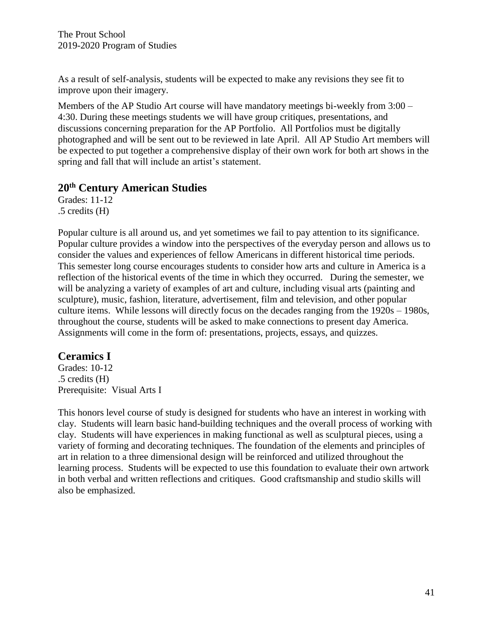As a result of self-analysis, students will be expected to make any revisions they see fit to improve upon their imagery.

Members of the AP Studio Art course will have mandatory meetings bi-weekly from 3:00 – 4:30. During these meetings students we will have group critiques, presentations, and discussions concerning preparation for the AP Portfolio. All Portfolios must be digitally photographed and will be sent out to be reviewed in late April. All AP Studio Art members will be expected to put together a comprehensive display of their own work for both art shows in the spring and fall that will include an artist's statement.

## **20th Century American Studies**

Grades: 11-12 .5 credits (H)

Popular culture is all around us, and yet sometimes we fail to pay attention to its significance. Popular culture provides a window into the perspectives of the everyday person and allows us to consider the values and experiences of fellow Americans in different historical time periods. This semester long course encourages students to consider how arts and culture in America is a reflection of the historical events of the time in which they occurred. During the semester, we will be analyzing a variety of examples of art and culture, including visual arts (painting and sculpture), music, fashion, literature, advertisement, film and television, and other popular culture items. While lessons will directly focus on the decades ranging from the 1920s – 1980s, throughout the course, students will be asked to make connections to present day America. Assignments will come in the form of: presentations, projects, essays, and quizzes.

# **Ceramics I**

Grades: 10-12 .5 credits (H) Prerequisite: Visual Arts I

This honors level course of study is designed for students who have an interest in working with clay. Students will learn basic hand-building techniques and the overall process of working with clay. Students will have experiences in making functional as well as sculptural pieces, using a variety of forming and decorating techniques. The foundation of the elements and principles of art in relation to a three dimensional design will be reinforced and utilized throughout the learning process. Students will be expected to use this foundation to evaluate their own artwork in both verbal and written reflections and critiques. Good craftsmanship and studio skills will also be emphasized.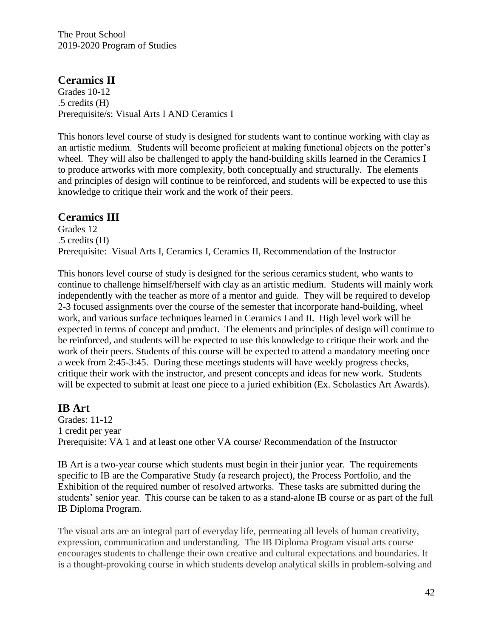## **Ceramics II**

Grades 10-12 .5 credits (H) Prerequisite/s: Visual Arts I AND Ceramics I

This honors level course of study is designed for students want to continue working with clay as an artistic medium. Students will become proficient at making functional objects on the potter's wheel. They will also be challenged to apply the hand-building skills learned in the Ceramics I to produce artworks with more complexity, both conceptually and structurally. The elements and principles of design will continue to be reinforced, and students will be expected to use this knowledge to critique their work and the work of their peers.

#### **Ceramics III**

Grades 12 .5 credits (H) Prerequisite: Visual Arts I, Ceramics I, Ceramics II, Recommendation of the Instructor

This honors level course of study is designed for the serious ceramics student, who wants to continue to challenge himself/herself with clay as an artistic medium. Students will mainly work independently with the teacher as more of a mentor and guide. They will be required to develop 2-3 focused assignments over the course of the semester that incorporate hand-building, wheel work, and various surface techniques learned in Ceramics I and II. High level work will be expected in terms of concept and product. The elements and principles of design will continue to be reinforced, and students will be expected to use this knowledge to critique their work and the work of their peers. Students of this course will be expected to attend a mandatory meeting once a week from 2:45-3:45. During these meetings students will have weekly progress checks, critique their work with the instructor, and present concepts and ideas for new work. Students will be expected to submit at least one piece to a juried exhibition (Ex. Scholastics Art Awards).

## **IB Art**

Grades: 11-12 1 credit per year Prerequisite: VA 1 and at least one other VA course/ Recommendation of the Instructor

IB Art is a two-year course which students must begin in their junior year. The requirements specific to IB are the Comparative Study (a research project), the Process Portfolio, and the Exhibition of the required number of resolved artworks. These tasks are submitted during the students' senior year. This course can be taken to as a stand-alone IB course or as part of the full IB Diploma Program.

The visual arts are an integral part of everyday life, permeating all levels of human creativity, expression, communication and understanding. The IB Diploma Program visual arts course encourages students to challenge their own creative and cultural expectations and boundaries. It is a thought-provoking course in which students develop analytical skills in problem-solving and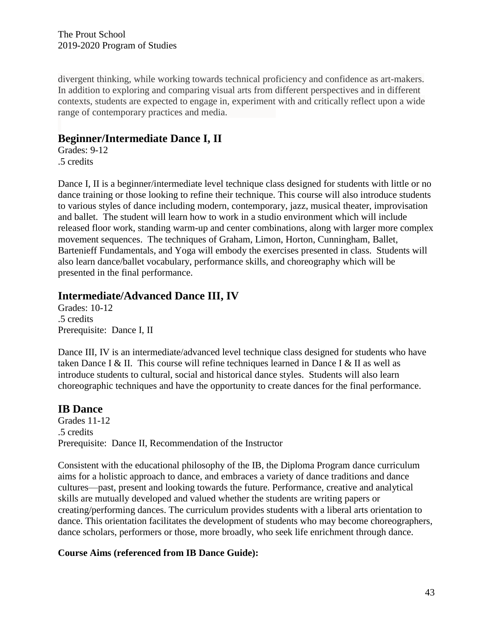divergent thinking, while working towards technical proficiency and confidence as art-makers. In addition to exploring and comparing visual arts from different perspectives and in different contexts, students are expected to engage in, experiment with and critically reflect upon a wide range of contemporary practices and media.

# **Beginner/Intermediate Dance I, II**

Grades: 9-12 .5 credits

Dance I, II is a beginner/intermediate level technique class designed for students with little or no dance training or those looking to refine their technique. This course will also introduce students to various styles of dance including modern, contemporary, jazz, musical theater, improvisation and ballet. The student will learn how to work in a studio environment which will include released floor work, standing warm-up and center combinations, along with larger more complex movement sequences. The techniques of Graham, Limon, Horton, Cunningham, Ballet, Bartenieff Fundamentals, and Yoga will embody the exercises presented in class. Students will also learn dance/ballet vocabulary, performance skills, and choreography which will be presented in the final performance.

# **Intermediate/Advanced Dance III, IV**

Grades: 10-12 .5 credits Prerequisite: Dance I, II

Dance III, IV is an intermediate/advanced level technique class designed for students who have taken Dance I & II. This course will refine techniques learned in Dance I & II as well as introduce students to cultural, social and historical dance styles. Students will also learn choreographic techniques and have the opportunity to create dances for the final performance.

# **IB Dance**

Grades 11-12 .5 credits Prerequisite: Dance II, Recommendation of the Instructor

Consistent with the educational philosophy of the IB, the Diploma Program dance curriculum aims for a holistic approach to dance, and embraces a variety of dance traditions and dance cultures—past, present and looking towards the future. Performance, creative and analytical skills are mutually developed and valued whether the students are writing papers or creating/performing dances. The curriculum provides students with a liberal arts orientation to dance. This orientation facilitates the development of students who may become choreographers, dance scholars, performers or those, more broadly, who seek life enrichment through dance.

#### **Course Aims (referenced from IB Dance Guide):**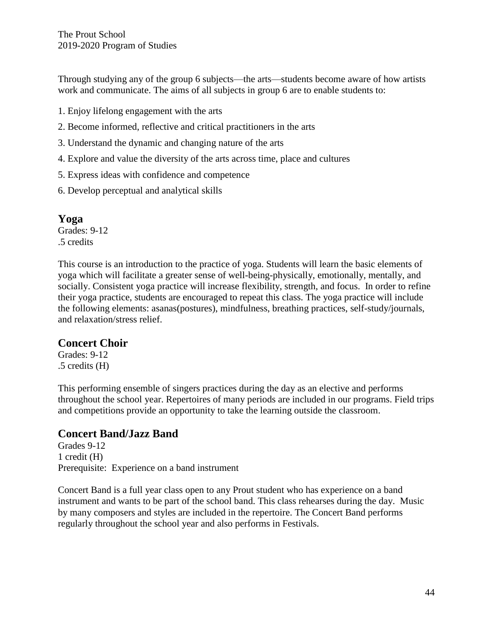Through studying any of the group 6 subjects—the arts—students become aware of how artists work and communicate. The aims of all subjects in group 6 are to enable students to:

- 1. Enjoy lifelong engagement with the arts
- 2. Become informed, reflective and critical practitioners in the arts
- 3. Understand the dynamic and changing nature of the arts
- 4. Explore and value the diversity of the arts across time, place and cultures
- 5. Express ideas with confidence and competence
- 6. Develop perceptual and analytical skills

#### **Yoga**

Grades: 9-12 .5 credits

This course is an introduction to the practice of yoga. Students will learn the basic elements of yoga which will facilitate a greater sense of well-being-physically, emotionally, mentally, and socially. Consistent yoga practice will increase flexibility, strength, and focus. In order to refine their yoga practice, students are encouraged to repeat this class. The yoga practice will include the following elements: asanas(postures), mindfulness, breathing practices, self-study/journals, and relaxation/stress relief.

#### **Concert Choir**

Grades: 9-12 .5 credits (H)

This performing ensemble of singers practices during the day as an elective and performs throughout the school year. Repertoires of many periods are included in our programs. Field trips and competitions provide an opportunity to take the learning outside the classroom.

# **Concert Band/Jazz Band**

Grades 9-12 1 credit (H) Prerequisite: Experience on a band instrument

Concert Band is a full year class open to any Prout student who has experience on a band instrument and wants to be part of the school band. This class rehearses during the day. Music by many composers and styles are included in the repertoire. The Concert Band performs regularly throughout the school year and also performs in Festivals.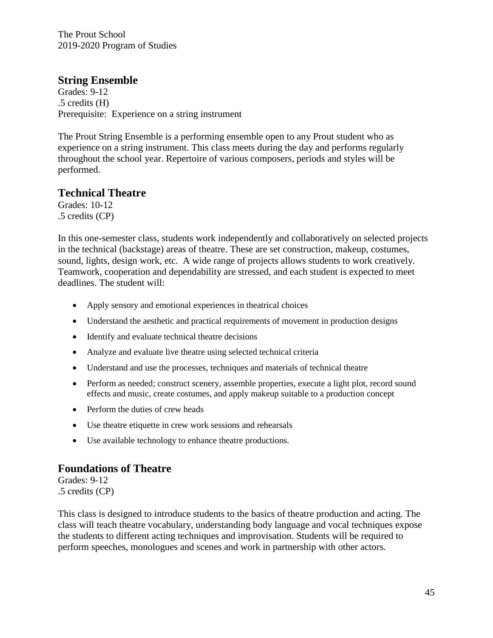#### **String Ensemble**

Grades: 9-12 .5 credits (H) Prerequisite: Experience on a string instrument

The Prout String Ensemble is a performing ensemble open to any Prout student who as experience on a string instrument. This class meets during the day and performs regularly throughout the school year. Repertoire of various composers, periods and styles will be performed.

#### **Technical Theatre**

Grades: 10-12 .5 credits (CP)

In this one-semester class, students work independently and collaboratively on selected projects in the technical (backstage) areas of theatre. These are set construction, makeup, costumes, sound, lights, design work, etc. A wide range of projects allows students to work creatively. Teamwork, cooperation and dependability are stressed, and each student is expected to meet deadlines. The student will:

- Apply sensory and emotional experiences in theatrical choices
- Understand the aesthetic and practical requirements of movement in production designs
- Identify and evaluate technical theatre decisions
- Analyze and evaluate live theatre using selected technical criteria
- Understand and use the processes, techniques and materials of technical theatre
- Perform as needed; construct scenery, assemble properties, execute a light plot, record sound effects and music, create costumes, and apply makeup suitable to a production concept
- Perform the duties of crew heads
- Use theatre etiquette in crew work sessions and rehearsals
- Use available technology to enhance theatre productions.

#### **Foundations of Theatre**

Grades: 9-12 .5 credits (CP)

This class is designed to introduce students to the basics of theatre production and acting. The class will teach theatre vocabulary, understanding body language and vocal techniques expose the students to different acting techniques and improvisation. Students will be required to perform speeches, monologues and scenes and work in partnership with other actors.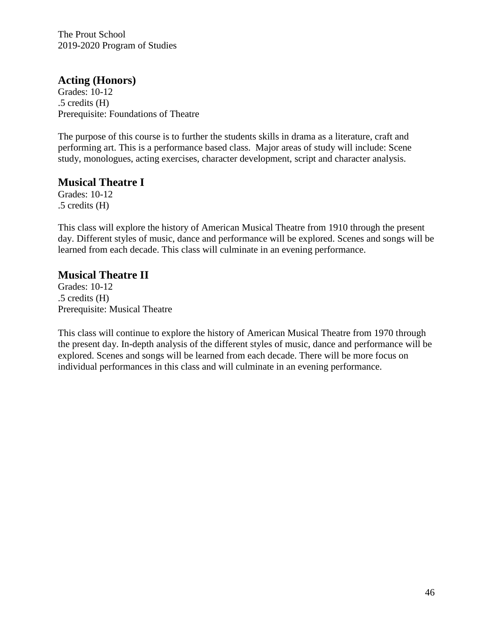#### **Acting (Honors)**

Grades: 10-12 .5 credits (H) Prerequisite: Foundations of Theatre

The purpose of this course is to further the students skills in drama as a literature, craft and performing art. This is a performance based class. Major areas of study will include: Scene study, monologues, acting exercises, character development, script and character analysis.

#### **Musical Theatre I**

Grades: 10-12 .5 credits (H)

This class will explore the history of American Musical Theatre from 1910 through the present day. Different styles of music, dance and performance will be explored. Scenes and songs will be learned from each decade. This class will culminate in an evening performance.

#### **Musical Theatre II**

Grades: 10-12 .5 credits (H) Prerequisite: Musical Theatre

This class will continue to explore the history of American Musical Theatre from 1970 through the present day. In-depth analysis of the different styles of music, dance and performance will be explored. Scenes and songs will be learned from each decade. There will be more focus on individual performances in this class and will culminate in an evening performance.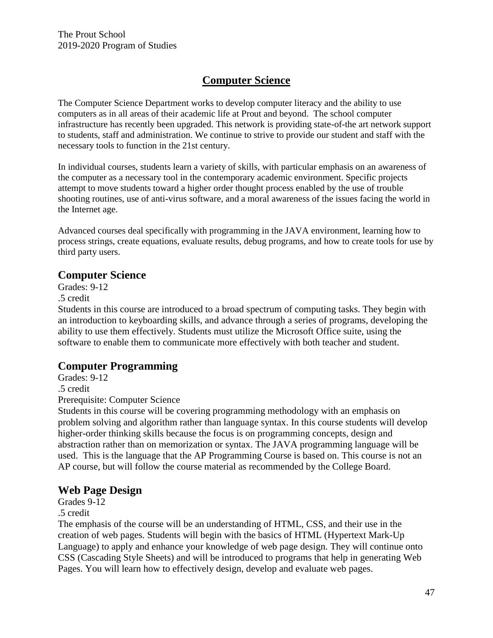# **Computer Science**

The Computer Science Department works to develop computer literacy and the ability to use computers as in all areas of their academic life at Prout and beyond. The school computer infrastructure has recently been upgraded. This network is providing state-of-the art network support to students, staff and administration. We continue to strive to provide our student and staff with the necessary tools to function in the 21st century.

In individual courses, students learn a variety of skills, with particular emphasis on an awareness of the computer as a necessary tool in the contemporary academic environment. Specific projects attempt to move students toward a higher order thought process enabled by the use of trouble shooting routines, use of anti-virus software, and a moral awareness of the issues facing the world in the Internet age.

Advanced courses deal specifically with programming in the JAVA environment, learning how to process strings, create equations, evaluate results, debug programs, and how to create tools for use by third party users.

## **Computer Science**

Grades: 9-12

.5 credit

Students in this course are introduced to a broad spectrum of computing tasks. They begin with an introduction to keyboarding skills, and advance through a series of programs, developing the ability to use them effectively. Students must utilize the Microsoft Office suite, using the software to enable them to communicate more effectively with both teacher and student.

# **Computer Programming**

Grades: 9-12

.5 credit

Prerequisite: Computer Science

Students in this course will be covering programming methodology with an emphasis on problem solving and algorithm rather than language syntax. In this course students will develop higher-order thinking skills because the focus is on programming concepts, design and abstraction rather than on memorization or syntax. The JAVA programming language will be used. This is the language that the AP Programming Course is based on. This course is not an AP course, but will follow the course material as recommended by the College Board.

## **Web Page Design**

Grades 9-12 .5 credit

The emphasis of the course will be an understanding of HTML, CSS, and their use in the creation of web pages. Students will begin with the basics of HTML (Hypertext Mark-Up Language) to apply and enhance your knowledge of web page design. They will continue onto CSS (Cascading Style Sheets) and will be introduced to programs that help in generating Web Pages. You will learn how to effectively design, develop and evaluate web pages.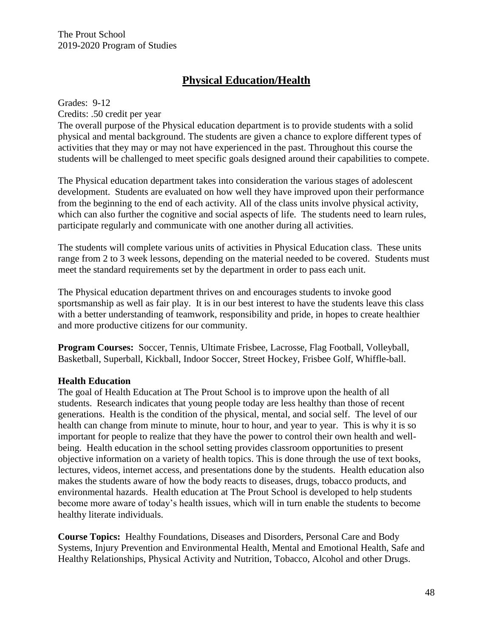# **Physical Education/Health**

Grades: 9-12 Credits: .50 credit per year

The overall purpose of the Physical education department is to provide students with a solid physical and mental background. The students are given a chance to explore different types of activities that they may or may not have experienced in the past. Throughout this course the students will be challenged to meet specific goals designed around their capabilities to compete.

The Physical education department takes into consideration the various stages of adolescent development. Students are evaluated on how well they have improved upon their performance from the beginning to the end of each activity. All of the class units involve physical activity, which can also further the cognitive and social aspects of life. The students need to learn rules, participate regularly and communicate with one another during all activities.

The students will complete various units of activities in Physical Education class. These units range from 2 to 3 week lessons, depending on the material needed to be covered. Students must meet the standard requirements set by the department in order to pass each unit.

The Physical education department thrives on and encourages students to invoke good sportsmanship as well as fair play. It is in our best interest to have the students leave this class with a better understanding of teamwork, responsibility and pride, in hopes to create healthier and more productive citizens for our community.

**Program Courses:** Soccer, Tennis, Ultimate Frisbee, Lacrosse, Flag Football, Volleyball, Basketball, Superball, Kickball, Indoor Soccer, Street Hockey, Frisbee Golf, Whiffle-ball.

#### **Health Education**

The goal of Health Education at The Prout School is to improve upon the health of all students. Research indicates that young people today are less healthy than those of recent generations. Health is the condition of the physical, mental, and social self. The level of our health can change from minute to minute, hour to hour, and year to year. This is why it is so important for people to realize that they have the power to control their own health and wellbeing. Health education in the school setting provides classroom opportunities to present objective information on a variety of health topics. This is done through the use of text books, lectures, videos, internet access, and presentations done by the students. Health education also makes the students aware of how the body reacts to diseases, drugs, tobacco products, and environmental hazards. Health education at The Prout School is developed to help students become more aware of today's health issues, which will in turn enable the students to become healthy literate individuals.

**Course Topics:** Healthy Foundations, Diseases and Disorders, Personal Care and Body Systems, Injury Prevention and Environmental Health, Mental and Emotional Health, Safe and Healthy Relationships, Physical Activity and Nutrition, Tobacco, Alcohol and other Drugs.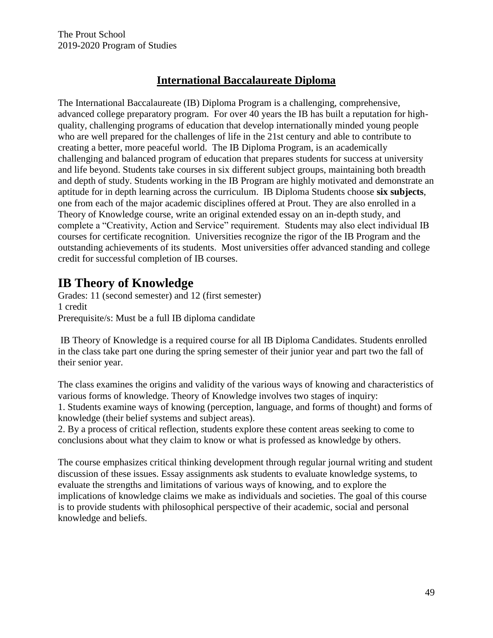# **International Baccalaureate Diploma**

The International Baccalaureate (IB) Diploma Program is a challenging, comprehensive, advanced college preparatory program. For over 40 years the IB has built a reputation for highquality, challenging programs of education that develop internationally minded young people who are well prepared for the challenges of life in the 21st century and able to contribute to creating a better, more peaceful world. The IB Diploma Program, is an academically challenging and balanced program of education that prepares students for success at university and life beyond. Students take courses in six different subject groups, maintaining both breadth and depth of study. Students working in the IB Program are highly motivated and demonstrate an aptitude for in depth learning across the curriculum. IB Diploma Students choose **six subjects**, one from each of the major academic disciplines offered at Prout. They are also enrolled in a Theory of Knowledge course, write an original extended essay on an in-depth study, and complete a "Creativity, Action and Service" requirement. Students may also elect individual IB courses for certificate recognition. Universities recognize the rigor of the IB Program and the outstanding achievements of its students. Most universities offer advanced standing and college credit for successful completion of IB courses.

# **IB Theory of Knowledge**

Grades: 11 (second semester) and 12 (first semester) 1 credit Prerequisite/s: Must be a full IB diploma candidate

IB Theory of Knowledge is a required course for all IB Diploma Candidates. Students enrolled in the class take part one during the spring semester of their junior year and part two the fall of their senior year.

The class examines the origins and validity of the various ways of knowing and characteristics of various forms of knowledge. Theory of Knowledge involves two stages of inquiry:

1. Students examine ways of knowing (perception, language, and forms of thought) and forms of knowledge (their belief systems and subject areas).

2. By a process of critical reflection, students explore these content areas seeking to come to conclusions about what they claim to know or what is professed as knowledge by others.

The course emphasizes critical thinking development through regular journal writing and student discussion of these issues. Essay assignments ask students to evaluate knowledge systems, to evaluate the strengths and limitations of various ways of knowing, and to explore the implications of knowledge claims we make as individuals and societies. The goal of this course is to provide students with philosophical perspective of their academic, social and personal knowledge and beliefs.